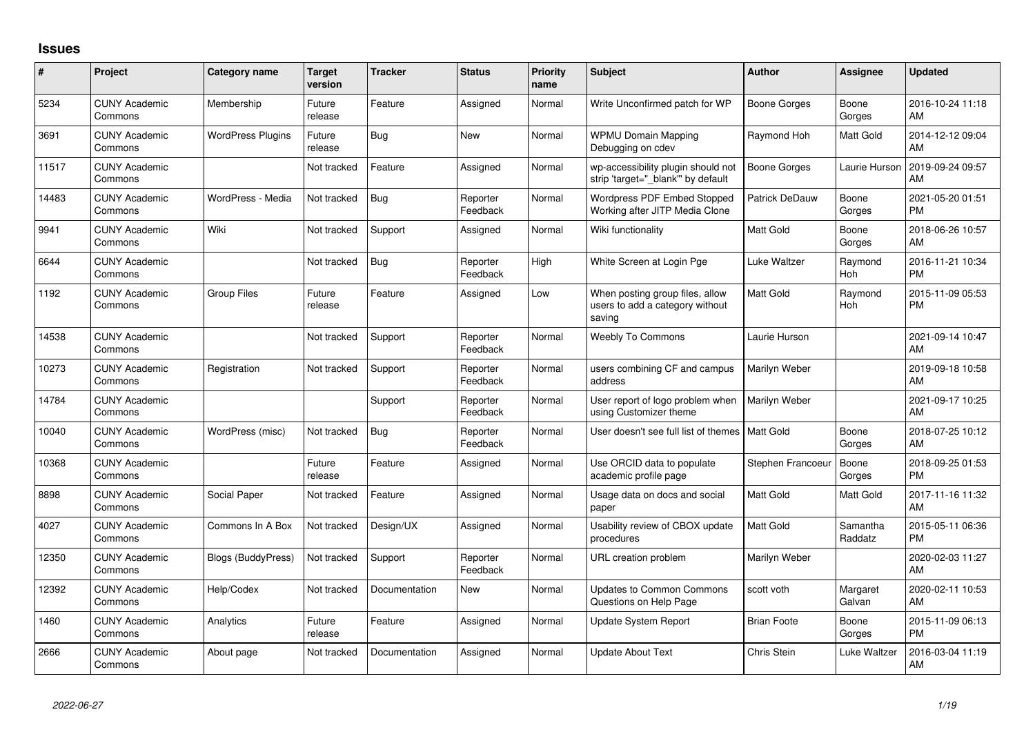## **Issues**

| #     | Project                         | <b>Category name</b>      | <b>Target</b><br>version | <b>Tracker</b> | <b>Status</b>        | <b>Priority</b><br>name | <b>Subject</b>                                                               | <b>Author</b>         | <b>Assignee</b>     | <b>Updated</b>                |
|-------|---------------------------------|---------------------------|--------------------------|----------------|----------------------|-------------------------|------------------------------------------------------------------------------|-----------------------|---------------------|-------------------------------|
| 5234  | <b>CUNY Academic</b><br>Commons | Membership                | Future<br>release        | Feature        | Assigned             | Normal                  | Write Unconfirmed patch for WP                                               | <b>Boone Gorges</b>   | Boone<br>Gorges     | 2016-10-24 11:18<br>AM        |
| 3691  | <b>CUNY Academic</b><br>Commons | <b>WordPress Plugins</b>  | Future<br>release        | <b>Bug</b>     | <b>New</b>           | Normal                  | <b>WPMU Domain Mapping</b><br>Debugging on cdev                              | Raymond Hoh           | Matt Gold           | 2014-12-12 09:04<br>AM        |
| 11517 | <b>CUNY Academic</b><br>Commons |                           | Not tracked              | Feature        | Assigned             | Normal                  | wp-accessibility plugin should not<br>strip 'target=" blank" by default      | <b>Boone Gorges</b>   | Laurie Hurson       | 2019-09-24 09:57<br>AM        |
| 14483 | <b>CUNY Academic</b><br>Commons | WordPress - Media         | Not tracked              | Bug            | Reporter<br>Feedback | Normal                  | Wordpress PDF Embed Stopped<br>Working after JITP Media Clone                | <b>Patrick DeDauw</b> | Boone<br>Gorges     | 2021-05-20 01:51<br><b>PM</b> |
| 9941  | <b>CUNY Academic</b><br>Commons | Wiki                      | Not tracked              | Support        | Assigned             | Normal                  | Wiki functionality                                                           | <b>Matt Gold</b>      | Boone<br>Gorges     | 2018-06-26 10:57<br>AM        |
| 6644  | <b>CUNY Academic</b><br>Commons |                           | Not tracked              | Bug            | Reporter<br>Feedback | High                    | White Screen at Login Pge                                                    | Luke Waltzer          | Raymond<br>Hoh      | 2016-11-21 10:34<br><b>PM</b> |
| 1192  | <b>CUNY Academic</b><br>Commons | <b>Group Files</b>        | Future<br>release        | Feature        | Assigned             | Low                     | When posting group files, allow<br>users to add a category without<br>saving | <b>Matt Gold</b>      | Raymond<br>Hoh      | 2015-11-09 05:53<br><b>PM</b> |
| 14538 | <b>CUNY Academic</b><br>Commons |                           | Not tracked              | Support        | Reporter<br>Feedback | Normal                  | Weebly To Commons                                                            | Laurie Hurson         |                     | 2021-09-14 10:47<br>AM        |
| 10273 | <b>CUNY Academic</b><br>Commons | Registration              | Not tracked              | Support        | Reporter<br>Feedback | Normal                  | users combining CF and campus<br>address                                     | Marilyn Weber         |                     | 2019-09-18 10:58<br>AM        |
| 14784 | <b>CUNY Academic</b><br>Commons |                           |                          | Support        | Reporter<br>Feedback | Normal                  | User report of logo problem when<br>using Customizer theme                   | Marilyn Weber         |                     | 2021-09-17 10:25<br>AM        |
| 10040 | <b>CUNY Academic</b><br>Commons | WordPress (misc)          | Not tracked              | Bug            | Reporter<br>Feedback | Normal                  | User doesn't see full list of themes                                         | Matt Gold             | Boone<br>Gorges     | 2018-07-25 10:12<br>AM        |
| 10368 | <b>CUNY Academic</b><br>Commons |                           | Future<br>release        | Feature        | Assigned             | Normal                  | Use ORCID data to populate<br>academic profile page                          | Stephen Francoeur     | Boone<br>Gorges     | 2018-09-25 01:53<br><b>PM</b> |
| 8898  | <b>CUNY Academic</b><br>Commons | Social Paper              | Not tracked              | Feature        | Assigned             | Normal                  | Usage data on docs and social<br>paper                                       | <b>Matt Gold</b>      | Matt Gold           | 2017-11-16 11:32<br>AM        |
| 4027  | <b>CUNY Academic</b><br>Commons | Commons In A Box          | Not tracked              | Design/UX      | Assigned             | Normal                  | Usability review of CBOX update<br>procedures                                | <b>Matt Gold</b>      | Samantha<br>Raddatz | 2015-05-11 06:36<br><b>PM</b> |
| 12350 | <b>CUNY Academic</b><br>Commons | <b>Blogs (BuddyPress)</b> | Not tracked              | Support        | Reporter<br>Feedback | Normal                  | URL creation problem                                                         | Marilyn Weber         |                     | 2020-02-03 11:27<br>AM        |
| 12392 | <b>CUNY Academic</b><br>Commons | Help/Codex                | Not tracked              | Documentation  | <b>New</b>           | Normal                  | <b>Updates to Common Commons</b><br>Questions on Help Page                   | scott voth            | Margaret<br>Galvan  | 2020-02-11 10:53<br>AM        |
| 1460  | <b>CUNY Academic</b><br>Commons | Analytics                 | Future<br>release        | Feature        | Assigned             | Normal                  | Update System Report                                                         | <b>Brian Foote</b>    | Boone<br>Gorges     | 2015-11-09 06:13<br><b>PM</b> |
| 2666  | <b>CUNY Academic</b><br>Commons | About page                | Not tracked              | Documentation  | Assigned             | Normal                  | <b>Update About Text</b>                                                     | Chris Stein           | Luke Waltzer        | 2016-03-04 11:19<br>AM        |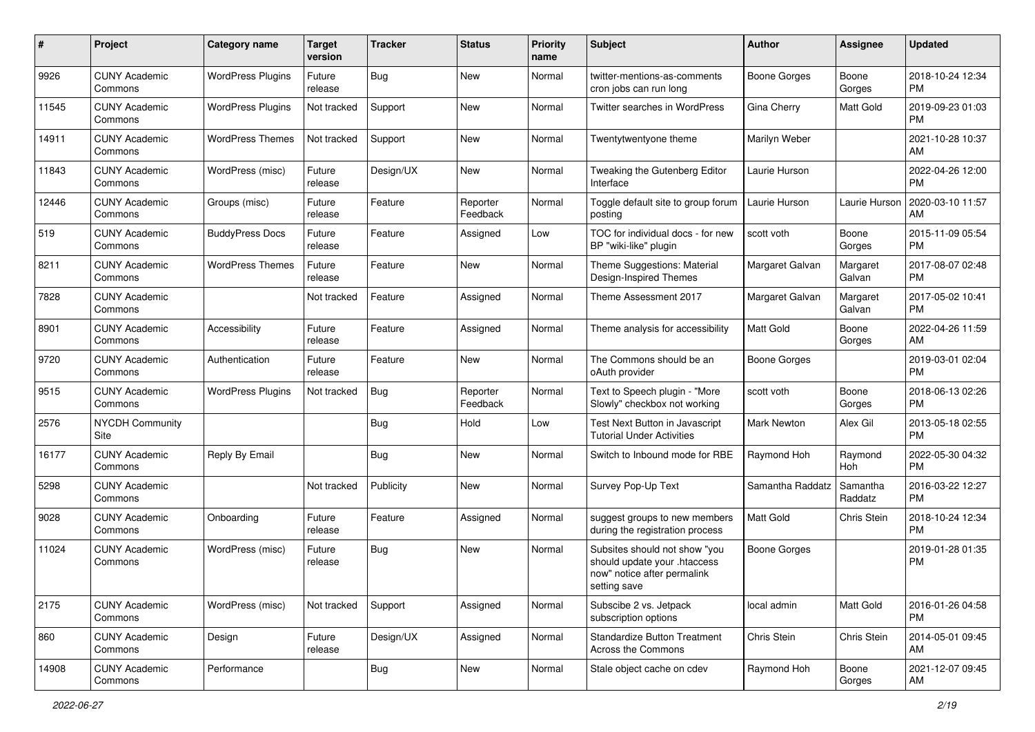| #     | Project                         | <b>Category name</b>     | <b>Target</b><br>version | <b>Tracker</b> | <b>Status</b>        | <b>Priority</b><br>name | Subject                                                                                                      | Author              | Assignee            | <b>Updated</b>                |
|-------|---------------------------------|--------------------------|--------------------------|----------------|----------------------|-------------------------|--------------------------------------------------------------------------------------------------------------|---------------------|---------------------|-------------------------------|
| 9926  | <b>CUNY Academic</b><br>Commons | <b>WordPress Plugins</b> | Future<br>release        | <b>Bug</b>     | <b>New</b>           | Normal                  | twitter-mentions-as-comments<br>cron jobs can run long                                                       | <b>Boone Gorges</b> | Boone<br>Gorges     | 2018-10-24 12:34<br><b>PM</b> |
| 11545 | <b>CUNY Academic</b><br>Commons | <b>WordPress Plugins</b> | Not tracked              | Support        | New                  | Normal                  | Twitter searches in WordPress                                                                                | Gina Cherry         | <b>Matt Gold</b>    | 2019-09-23 01:03<br><b>PM</b> |
| 14911 | <b>CUNY Academic</b><br>Commons | <b>WordPress Themes</b>  | Not tracked              | Support        | New                  | Normal                  | Twentytwentyone theme                                                                                        | Marilyn Weber       |                     | 2021-10-28 10:37<br>AM        |
| 11843 | <b>CUNY Academic</b><br>Commons | WordPress (misc)         | Future<br>release        | Design/UX      | New                  | Normal                  | Tweaking the Gutenberg Editor<br>Interface                                                                   | Laurie Hurson       |                     | 2022-04-26 12:00<br><b>PM</b> |
| 12446 | <b>CUNY Academic</b><br>Commons | Groups (misc)            | Future<br>release        | Feature        | Reporter<br>Feedback | Normal                  | Toggle default site to group forum<br>posting                                                                | Laurie Hurson       | Laurie Hurson       | 2020-03-10 11:57<br>AM        |
| 519   | <b>CUNY Academic</b><br>Commons | <b>BuddyPress Docs</b>   | Future<br>release        | Feature        | Assigned             | Low                     | TOC for individual docs - for new<br>BP "wiki-like" plugin                                                   | scott voth          | Boone<br>Gorges     | 2015-11-09 05:54<br><b>PM</b> |
| 8211  | <b>CUNY Academic</b><br>Commons | <b>WordPress Themes</b>  | Future<br>release        | Feature        | New                  | Normal                  | Theme Suggestions: Material<br>Design-Inspired Themes                                                        | Margaret Galvan     | Margaret<br>Galvan  | 2017-08-07 02:48<br><b>PM</b> |
| 7828  | <b>CUNY Academic</b><br>Commons |                          | Not tracked              | Feature        | Assigned             | Normal                  | Theme Assessment 2017                                                                                        | Margaret Galvan     | Margaret<br>Galvan  | 2017-05-02 10:41<br><b>PM</b> |
| 8901  | <b>CUNY Academic</b><br>Commons | Accessibility            | Future<br>release        | Feature        | Assigned             | Normal                  | Theme analysis for accessibility                                                                             | Matt Gold           | Boone<br>Gorges     | 2022-04-26 11:59<br>AM        |
| 9720  | <b>CUNY Academic</b><br>Commons | Authentication           | Future<br>release        | Feature        | New                  | Normal                  | The Commons should be an<br>oAuth provider                                                                   | <b>Boone Gorges</b> |                     | 2019-03-01 02:04<br><b>PM</b> |
| 9515  | <b>CUNY Academic</b><br>Commons | <b>WordPress Plugins</b> | Not tracked              | Bug            | Reporter<br>Feedback | Normal                  | Text to Speech plugin - "More<br>Slowly" checkbox not working                                                | scott voth          | Boone<br>Gorges     | 2018-06-13 02:26<br><b>PM</b> |
| 2576  | <b>NYCDH Community</b><br>Site  |                          |                          | <b>Bug</b>     | Hold                 | Low                     | Test Next Button in Javascript<br><b>Tutorial Under Activities</b>                                           | Mark Newton         | Alex Gil            | 2013-05-18 02:55<br><b>PM</b> |
| 16177 | <b>CUNY Academic</b><br>Commons | Reply By Email           |                          | Bug            | New                  | Normal                  | Switch to Inbound mode for RBE                                                                               | Raymond Hoh         | Raymond<br>Hoh      | 2022-05-30 04:32<br><b>PM</b> |
| 5298  | <b>CUNY Academic</b><br>Commons |                          | Not tracked              | Publicity      | New                  | Normal                  | Survey Pop-Up Text                                                                                           | Samantha Raddatz    | Samantha<br>Raddatz | 2016-03-22 12:27<br><b>PM</b> |
| 9028  | <b>CUNY Academic</b><br>Commons | Onboarding               | Future<br>release        | Feature        | Assigned             | Normal                  | suggest groups to new members<br>during the registration process                                             | Matt Gold           | Chris Stein         | 2018-10-24 12:34<br><b>PM</b> |
| 11024 | <b>CUNY Academic</b><br>Commons | WordPress (misc)         | Future<br>release        | Bug            | New                  | Normal                  | Subsites should not show "you<br>should update your .htaccess<br>now" notice after permalink<br>setting save | <b>Boone Gorges</b> |                     | 2019-01-28 01:35<br>PM        |
| 2175  | <b>CUNY Academic</b><br>Commons | WordPress (misc)         | Not tracked              | Support        | Assigned             | Normal                  | Subscibe 2 vs. Jetpack<br>subscription options                                                               | local admin         | Matt Gold           | 2016-01-26 04:58<br><b>PM</b> |
| 860   | <b>CUNY Academic</b><br>Commons | Design                   | Future<br>release        | Design/UX      | Assigned             | Normal                  | <b>Standardize Button Treatment</b><br>Across the Commons                                                    | Chris Stein         | Chris Stein         | 2014-05-01 09:45<br>AM        |
| 14908 | <b>CUNY Academic</b><br>Commons | Performance              |                          | <b>Bug</b>     | New                  | Normal                  | Stale object cache on cdev                                                                                   | Raymond Hoh         | Boone<br>Gorges     | 2021-12-07 09:45<br>AM        |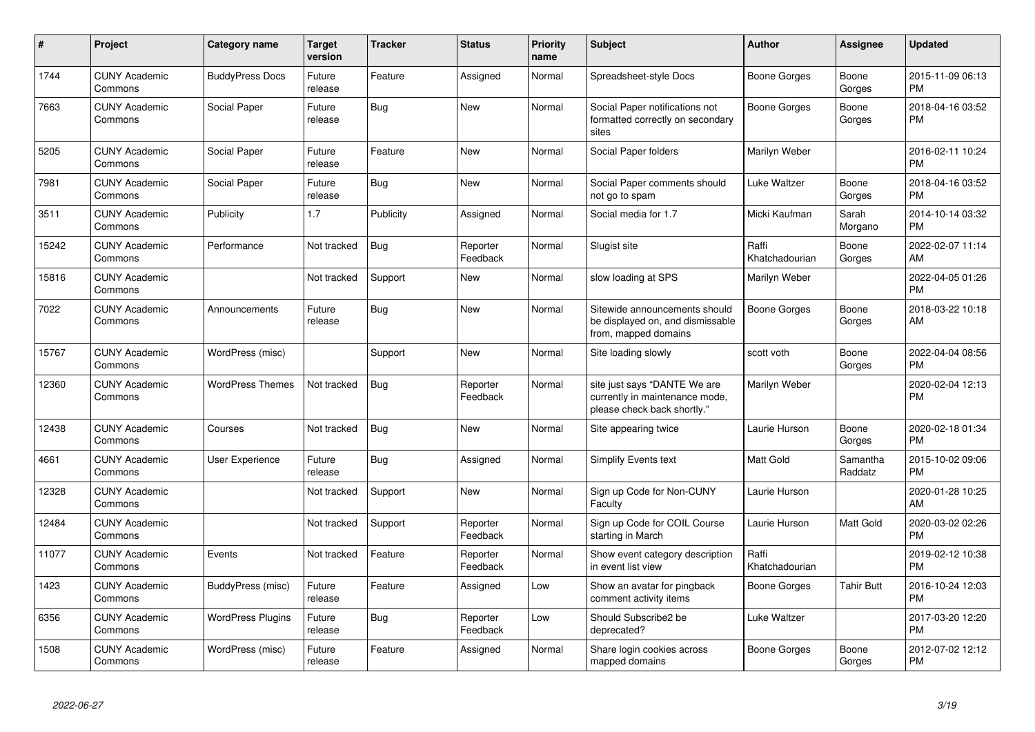| #     | Project                         | <b>Category name</b>     | <b>Target</b><br>version | <b>Tracker</b> | <b>Status</b>        | <b>Priority</b><br>name | Subject                                                                                       | <b>Author</b>           | <b>Assignee</b>     | <b>Updated</b>                |
|-------|---------------------------------|--------------------------|--------------------------|----------------|----------------------|-------------------------|-----------------------------------------------------------------------------------------------|-------------------------|---------------------|-------------------------------|
| 1744  | <b>CUNY Academic</b><br>Commons | <b>BuddyPress Docs</b>   | Future<br>release        | Feature        | Assigned             | Normal                  | Spreadsheet-style Docs                                                                        | Boone Gorges            | Boone<br>Gorges     | 2015-11-09 06:13<br><b>PM</b> |
| 7663  | <b>CUNY Academic</b><br>Commons | Social Paper             | Future<br>release        | <b>Bug</b>     | <b>New</b>           | Normal                  | Social Paper notifications not<br>formatted correctly on secondary<br>sites                   | <b>Boone Gorges</b>     | Boone<br>Gorges     | 2018-04-16 03:52<br><b>PM</b> |
| 5205  | <b>CUNY Academic</b><br>Commons | Social Paper             | Future<br>release        | Feature        | <b>New</b>           | Normal                  | Social Paper folders                                                                          | Marilyn Weber           |                     | 2016-02-11 10:24<br><b>PM</b> |
| 7981  | <b>CUNY Academic</b><br>Commons | Social Paper             | Future<br>release        | Bug            | New                  | Normal                  | Social Paper comments should<br>not go to spam                                                | Luke Waltzer            | Boone<br>Gorges     | 2018-04-16 03:52<br><b>PM</b> |
| 3511  | <b>CUNY Academic</b><br>Commons | Publicity                | 1.7                      | Publicity      | Assigned             | Normal                  | Social media for 1.7                                                                          | Micki Kaufman           | Sarah<br>Morgano    | 2014-10-14 03:32<br><b>PM</b> |
| 15242 | <b>CUNY Academic</b><br>Commons | Performance              | Not tracked              | Bug            | Reporter<br>Feedback | Normal                  | Slugist site                                                                                  | Raffi<br>Khatchadourian | Boone<br>Gorges     | 2022-02-07 11:14<br>AM        |
| 15816 | <b>CUNY Academic</b><br>Commons |                          | Not tracked              | Support        | New                  | Normal                  | slow loading at SPS                                                                           | Marilyn Weber           |                     | 2022-04-05 01:26<br><b>PM</b> |
| 7022  | <b>CUNY Academic</b><br>Commons | Announcements            | Future<br>release        | <b>Bug</b>     | <b>New</b>           | Normal                  | Sitewide announcements should<br>be displayed on, and dismissable<br>from, mapped domains     | Boone Gorges            | Boone<br>Gorges     | 2018-03-22 10:18<br>AM        |
| 15767 | <b>CUNY Academic</b><br>Commons | WordPress (misc)         |                          | Support        | <b>New</b>           | Normal                  | Site loading slowly                                                                           | scott voth              | Boone<br>Gorges     | 2022-04-04 08:56<br><b>PM</b> |
| 12360 | <b>CUNY Academic</b><br>Commons | <b>WordPress Themes</b>  | Not tracked              | <b>Bug</b>     | Reporter<br>Feedback | Normal                  | site just says "DANTE We are<br>currently in maintenance mode,<br>please check back shortly." | Marilyn Weber           |                     | 2020-02-04 12:13<br><b>PM</b> |
| 12438 | <b>CUNY Academic</b><br>Commons | Courses                  | Not tracked              | Bug            | <b>New</b>           | Normal                  | Site appearing twice                                                                          | Laurie Hurson           | Boone<br>Gorges     | 2020-02-18 01:34<br><b>PM</b> |
| 4661  | <b>CUNY Academic</b><br>Commons | User Experience          | Future<br>release        | <b>Bug</b>     | Assigned             | Normal                  | Simplify Events text                                                                          | Matt Gold               | Samantha<br>Raddatz | 2015-10-02 09:06<br><b>PM</b> |
| 12328 | <b>CUNY Academic</b><br>Commons |                          | Not tracked              | Support        | New                  | Normal                  | Sign up Code for Non-CUNY<br>Faculty                                                          | Laurie Hurson           |                     | 2020-01-28 10:25<br>AM        |
| 12484 | <b>CUNY Academic</b><br>Commons |                          | Not tracked              | Support        | Reporter<br>Feedback | Normal                  | Sign up Code for COIL Course<br>starting in March                                             | Laurie Hurson           | Matt Gold           | 2020-03-02 02:26<br><b>PM</b> |
| 11077 | <b>CUNY Academic</b><br>Commons | Events                   | Not tracked              | Feature        | Reporter<br>Feedback | Normal                  | Show event category description<br>in event list view                                         | Raffi<br>Khatchadourian |                     | 2019-02-12 10:38<br><b>PM</b> |
| 1423  | <b>CUNY Academic</b><br>Commons | BuddyPress (misc)        | Future<br>release        | Feature        | Assigned             | Low                     | Show an avatar for pingback<br>comment activity items                                         | Boone Gorges            | <b>Tahir Butt</b>   | 2016-10-24 12:03<br>PM        |
| 6356  | <b>CUNY Academic</b><br>Commons | <b>WordPress Plugins</b> | Future<br>release        | <b>Bug</b>     | Reporter<br>Feedback | Low                     | Should Subscribe2 be<br>deprecated?                                                           | <b>Luke Waltzer</b>     |                     | 2017-03-20 12:20<br><b>PM</b> |
| 1508  | <b>CUNY Academic</b><br>Commons | WordPress (misc)         | Future<br>release        | Feature        | Assigned             | Normal                  | Share login cookies across<br>mapped domains                                                  | <b>Boone Gorges</b>     | Boone<br>Gorges     | 2012-07-02 12:12<br>PM        |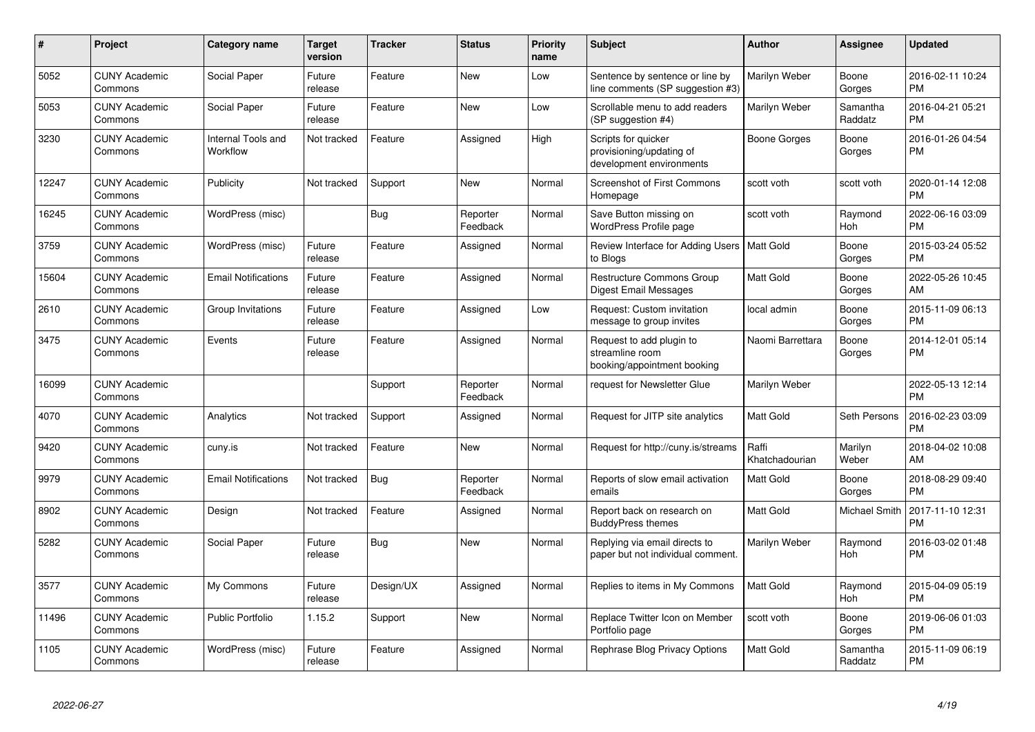| #     | <b>Project</b>                  | <b>Category name</b>           | <b>Target</b><br>version | Tracker    | <b>Status</b>        | Priority<br>name | <b>Subject</b>                                                              | <b>Author</b>           | Assignee              | <b>Updated</b>                |
|-------|---------------------------------|--------------------------------|--------------------------|------------|----------------------|------------------|-----------------------------------------------------------------------------|-------------------------|-----------------------|-------------------------------|
| 5052  | <b>CUNY Academic</b><br>Commons | Social Paper                   | Future<br>release        | Feature    | <b>New</b>           | Low              | Sentence by sentence or line by<br>line comments (SP suggestion #3)         | Marilyn Weber           | Boone<br>Gorges       | 2016-02-11 10:24<br><b>PM</b> |
| 5053  | <b>CUNY Academic</b><br>Commons | Social Paper                   | Future<br>release        | Feature    | <b>New</b>           | Low              | Scrollable menu to add readers<br>(SP suggestion #4)                        | Marilyn Weber           | Samantha<br>Raddatz   | 2016-04-21 05:21<br><b>PM</b> |
| 3230  | <b>CUNY Academic</b><br>Commons | Internal Tools and<br>Workflow | Not tracked              | Feature    | Assigned             | High             | Scripts for quicker<br>provisioning/updating of<br>development environments | Boone Gorges            | Boone<br>Gorges       | 2016-01-26 04:54<br><b>PM</b> |
| 12247 | <b>CUNY Academic</b><br>Commons | Publicity                      | Not tracked              | Support    | <b>New</b>           | Normal           | <b>Screenshot of First Commons</b><br>Homepage                              | scott voth              | scott voth            | 2020-01-14 12:08<br>PM        |
| 16245 | <b>CUNY Academic</b><br>Commons | WordPress (misc)               |                          | <b>Bug</b> | Reporter<br>Feedback | Normal           | Save Button missing on<br>WordPress Profile page                            | scott voth              | Raymond<br>Hoh        | 2022-06-16 03:09<br><b>PM</b> |
| 3759  | <b>CUNY Academic</b><br>Commons | WordPress (misc)               | Future<br>release        | Feature    | Assigned             | Normal           | Review Interface for Adding Users   Matt Gold<br>to Blogs                   |                         | Boone<br>Gorges       | 2015-03-24 05:52<br><b>PM</b> |
| 15604 | <b>CUNY Academic</b><br>Commons | <b>Email Notifications</b>     | Future<br>release        | Feature    | Assigned             | Normal           | Restructure Commons Group<br>Digest Email Messages                          | Matt Gold               | Boone<br>Gorges       | 2022-05-26 10:45<br>AM        |
| 2610  | <b>CUNY Academic</b><br>Commons | Group Invitations              | Future<br>release        | Feature    | Assigned             | Low              | Request: Custom invitation<br>message to group invites                      | local admin             | Boone<br>Gorges       | 2015-11-09 06:13<br><b>PM</b> |
| 3475  | <b>CUNY Academic</b><br>Commons | Events                         | Future<br>release        | Feature    | Assigned             | Normal           | Request to add plugin to<br>streamline room<br>booking/appointment booking  | Naomi Barrettara        | Boone<br>Gorges       | 2014-12-01 05:14<br><b>PM</b> |
| 16099 | <b>CUNY Academic</b><br>Commons |                                |                          | Support    | Reporter<br>Feedback | Normal           | request for Newsletter Glue                                                 | Marilyn Weber           |                       | 2022-05-13 12:14<br><b>PM</b> |
| 4070  | <b>CUNY Academic</b><br>Commons | Analytics                      | Not tracked              | Support    | Assigned             | Normal           | Request for JITP site analytics                                             | Matt Gold               | Seth Persons          | 2016-02-23 03:09<br><b>PM</b> |
| 9420  | <b>CUNY Academic</b><br>Commons | cuny.is                        | Not tracked              | Feature    | <b>New</b>           | Normal           | Request for http://cuny.is/streams                                          | Raffi<br>Khatchadourian | Marilyn<br>Weber      | 2018-04-02 10:08<br>AM        |
| 9979  | <b>CUNY Academic</b><br>Commons | <b>Email Notifications</b>     | Not tracked              | <b>Bug</b> | Reporter<br>Feedback | Normal           | Reports of slow email activation<br>emails                                  | Matt Gold               | Boone<br>Gorges       | 2018-08-29 09:40<br><b>PM</b> |
| 8902  | <b>CUNY Academic</b><br>Commons | Design                         | Not tracked              | Feature    | Assigned             | Normal           | Report back on research on<br><b>BuddyPress themes</b>                      | Matt Gold               | Michael Smith         | 2017-11-10 12:31<br>PM        |
| 5282  | <b>CUNY Academic</b><br>Commons | Social Paper                   | Future<br>release        | Bug        | New                  | Normal           | Replying via email directs to<br>paper but not individual comment.          | Marilyn Weber           | Raymond<br>Hoh        | 2016-03-02 01:48<br><b>PM</b> |
| 3577  | <b>CUNY Academic</b><br>Commons | My Commons                     | Future<br>release        | Design/UX  | Assigned             | Normal           | Replies to items in My Commons                                              | <b>Matt Gold</b>        | Raymond<br><b>Hoh</b> | 2015-04-09 05:19<br><b>PM</b> |
| 11496 | <b>CUNY Academic</b><br>Commons | <b>Public Portfolio</b>        | 1.15.2                   | Support    | <b>New</b>           | Normal           | Replace Twitter Icon on Member<br>Portfolio page                            | scott voth              | Boone<br>Gorges       | 2019-06-06 01:03<br><b>PM</b> |
| 1105  | <b>CUNY Academic</b><br>Commons | WordPress (misc)               | Future<br>release        | Feature    | Assigned             | Normal           | Rephrase Blog Privacy Options                                               | Matt Gold               | Samantha<br>Raddatz   | 2015-11-09 06:19<br><b>PM</b> |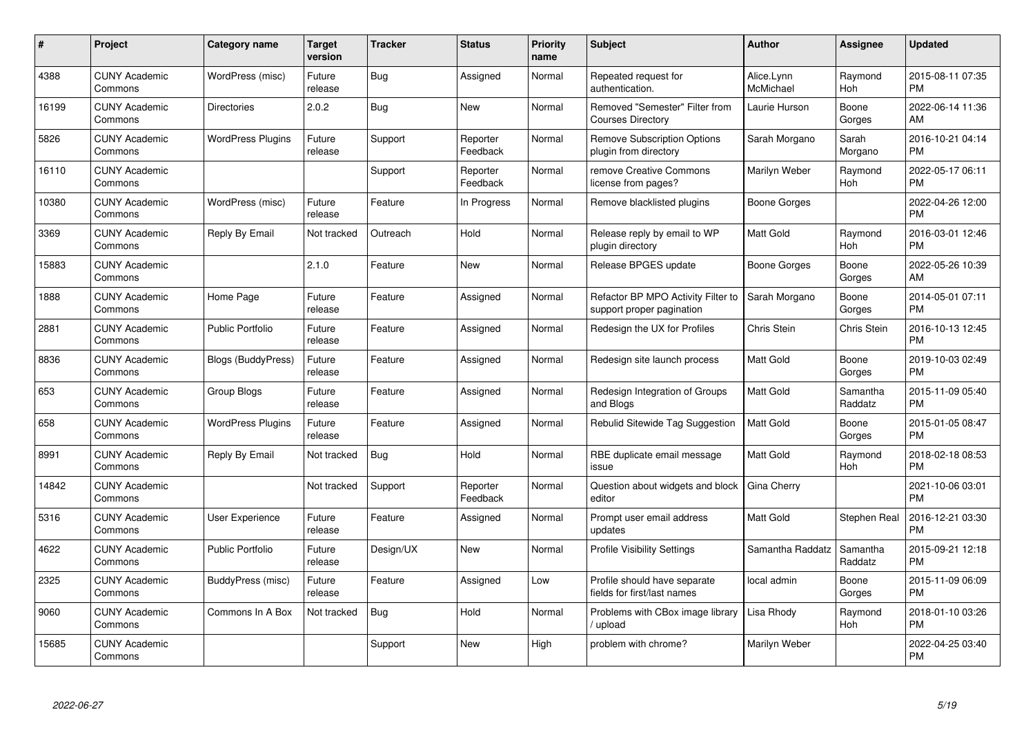| #     | <b>Project</b>                  | <b>Category name</b>      | <b>Target</b><br>version | <b>Tracker</b> | <b>Status</b>        | <b>Priority</b><br>name | <b>Subject</b>                                                  | <b>Author</b>           | <b>Assignee</b>     | <b>Updated</b>                |
|-------|---------------------------------|---------------------------|--------------------------|----------------|----------------------|-------------------------|-----------------------------------------------------------------|-------------------------|---------------------|-------------------------------|
| 4388  | <b>CUNY Academic</b><br>Commons | WordPress (misc)          | Future<br>release        | Bug            | Assigned             | Normal                  | Repeated request for<br>authentication.                         | Alice.Lynn<br>McMichael | Raymond<br>Hoh      | 2015-08-11 07:35<br><b>PM</b> |
| 16199 | <b>CUNY Academic</b><br>Commons | <b>Directories</b>        | 2.0.2                    | Bug            | <b>New</b>           | Normal                  | Removed "Semester" Filter from<br><b>Courses Directory</b>      | Laurie Hurson           | Boone<br>Gorges     | 2022-06-14 11:36<br>AM        |
| 5826  | <b>CUNY Academic</b><br>Commons | <b>WordPress Plugins</b>  | Future<br>release        | Support        | Reporter<br>Feedback | Normal                  | <b>Remove Subscription Options</b><br>plugin from directory     | Sarah Morgano           | Sarah<br>Morgano    | 2016-10-21 04:14<br><b>PM</b> |
| 16110 | <b>CUNY Academic</b><br>Commons |                           |                          | Support        | Reporter<br>Feedback | Normal                  | remove Creative Commons<br>license from pages?                  | Marilyn Weber           | Raymond<br>Hoh      | 2022-05-17 06:11<br><b>PM</b> |
| 10380 | <b>CUNY Academic</b><br>Commons | WordPress (misc)          | Future<br>release        | Feature        | In Progress          | Normal                  | Remove blacklisted plugins                                      | Boone Gorges            |                     | 2022-04-26 12:00<br><b>PM</b> |
| 3369  | <b>CUNY Academic</b><br>Commons | Reply By Email            | Not tracked              | Outreach       | Hold                 | Normal                  | Release reply by email to WP<br>plugin directory                | <b>Matt Gold</b>        | Raymond<br>Hoh      | 2016-03-01 12:46<br><b>PM</b> |
| 15883 | <b>CUNY Academic</b><br>Commons |                           | 2.1.0                    | Feature        | New                  | Normal                  | Release BPGES update                                            | Boone Gorges            | Boone<br>Gorges     | 2022-05-26 10:39<br>AM        |
| 1888  | <b>CUNY Academic</b><br>Commons | Home Page                 | Future<br>release        | Feature        | Assigned             | Normal                  | Refactor BP MPO Activity Filter to<br>support proper pagination | Sarah Morgano           | Boone<br>Gorges     | 2014-05-01 07:11<br><b>PM</b> |
| 2881  | <b>CUNY Academic</b><br>Commons | <b>Public Portfolio</b>   | Future<br>release        | Feature        | Assigned             | Normal                  | Redesign the UX for Profiles                                    | Chris Stein             | Chris Stein         | 2016-10-13 12:45<br><b>PM</b> |
| 8836  | <b>CUNY Academic</b><br>Commons | <b>Blogs (BuddyPress)</b> | Future<br>release        | Feature        | Assigned             | Normal                  | Redesign site launch process                                    | Matt Gold               | Boone<br>Gorges     | 2019-10-03 02:49<br><b>PM</b> |
| 653   | <b>CUNY Academic</b><br>Commons | Group Blogs               | Future<br>release        | Feature        | Assigned             | Normal                  | Redesign Integration of Groups<br>and Blogs                     | Matt Gold               | Samantha<br>Raddatz | 2015-11-09 05:40<br><b>PM</b> |
| 658   | <b>CUNY Academic</b><br>Commons | <b>WordPress Plugins</b>  | Future<br>release        | Feature        | Assigned             | Normal                  | Rebulid Sitewide Tag Suggestion                                 | Matt Gold               | Boone<br>Gorges     | 2015-01-05 08:47<br><b>PM</b> |
| 8991  | <b>CUNY Academic</b><br>Commons | Reply By Email            | Not tracked              | <b>Bug</b>     | Hold                 | Normal                  | RBE duplicate email message<br>issue                            | <b>Matt Gold</b>        | Raymond<br>Hoh      | 2018-02-18 08:53<br><b>PM</b> |
| 14842 | <b>CUNY Academic</b><br>Commons |                           | Not tracked              | Support        | Reporter<br>Feedback | Normal                  | Question about widgets and block<br>editor                      | Gina Cherry             |                     | 2021-10-06 03:01<br><b>PM</b> |
| 5316  | <b>CUNY Academic</b><br>Commons | <b>User Experience</b>    | Future<br>release        | Feature        | Assigned             | Normal                  | Prompt user email address<br>updates                            | Matt Gold               | Stephen Real        | 2016-12-21 03:30<br><b>PM</b> |
| 4622  | <b>CUNY Academic</b><br>Commons | <b>Public Portfolio</b>   | Future<br>release        | Design/UX      | <b>New</b>           | Normal                  | <b>Profile Visibility Settings</b>                              | Samantha Raddatz        | Samantha<br>Raddatz | 2015-09-21 12:18<br><b>PM</b> |
| 2325  | <b>CUNY Academic</b><br>Commons | BuddyPress (misc)         | Future<br>release        | Feature        | Assigned             | Low                     | Profile should have separate<br>fields for first/last names     | local admin             | Boone<br>Gorges     | 2015-11-09 06:09<br><b>PM</b> |
| 9060  | <b>CUNY Academic</b><br>Commons | Commons In A Box          | Not tracked              | Bug            | Hold                 | Normal                  | Problems with CBox image library<br>upload                      | Lisa Rhody              | Raymond<br>Hoh      | 2018-01-10 03:26<br><b>PM</b> |
| 15685 | <b>CUNY Academic</b><br>Commons |                           |                          | Support        | <b>New</b>           | High                    | problem with chrome?                                            | Marilyn Weber           |                     | 2022-04-25 03:40<br>PM        |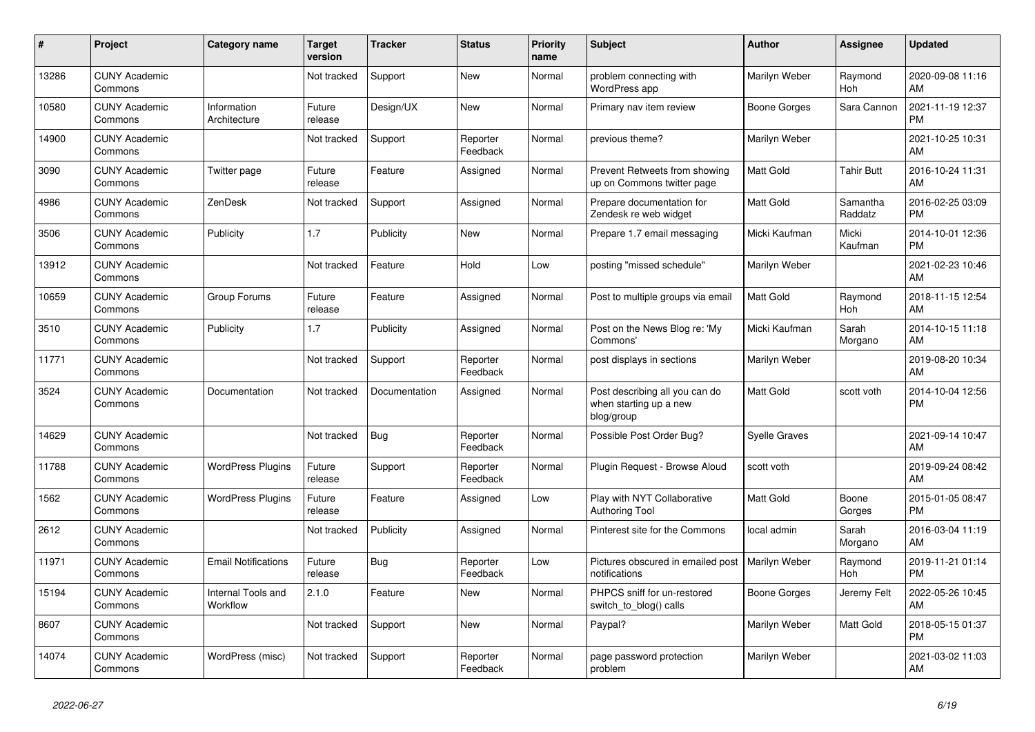| #     | <b>Project</b>                  | <b>Category name</b>           | <b>Target</b><br>version | Tracker       | <b>Status</b>        | <b>Priority</b><br>name | <b>Subject</b>                                                         | <b>Author</b>        | <b>Assignee</b>       | <b>Updated</b>                |
|-------|---------------------------------|--------------------------------|--------------------------|---------------|----------------------|-------------------------|------------------------------------------------------------------------|----------------------|-----------------------|-------------------------------|
| 13286 | <b>CUNY Academic</b><br>Commons |                                | Not tracked              | Support       | <b>New</b>           | Normal                  | problem connecting with<br>WordPress app                               | Marilyn Weber        | Raymond<br><b>Hoh</b> | 2020-09-08 11:16<br>AM        |
| 10580 | <b>CUNY Academic</b><br>Commons | Information<br>Architecture    | Future<br>release        | Design/UX     | <b>New</b>           | Normal                  | Primary nav item review                                                | Boone Gorges         | Sara Cannon           | 2021-11-19 12:37<br><b>PM</b> |
| 14900 | <b>CUNY Academic</b><br>Commons |                                | Not tracked              | Support       | Reporter<br>Feedback | Normal                  | previous theme?                                                        | Marilyn Weber        |                       | 2021-10-25 10:31<br>AM        |
| 3090  | <b>CUNY Academic</b><br>Commons | Twitter page                   | Future<br>release        | Feature       | Assigned             | Normal                  | Prevent Retweets from showing<br>up on Commons twitter page            | <b>Matt Gold</b>     | <b>Tahir Butt</b>     | 2016-10-24 11:31<br>AM        |
| 4986  | <b>CUNY Academic</b><br>Commons | ZenDesk                        | Not tracked              | Support       | Assigned             | Normal                  | Prepare documentation for<br>Zendesk re web widget                     | Matt Gold            | Samantha<br>Raddatz   | 2016-02-25 03:09<br><b>PM</b> |
| 3506  | <b>CUNY Academic</b><br>Commons | Publicity                      | 1.7                      | Publicity     | <b>New</b>           | Normal                  | Prepare 1.7 email messaging                                            | Micki Kaufman        | Micki<br>Kaufman      | 2014-10-01 12:36<br><b>PM</b> |
| 13912 | <b>CUNY Academic</b><br>Commons |                                | Not tracked              | Feature       | Hold                 | Low                     | posting "missed schedule"                                              | Marilyn Weber        |                       | 2021-02-23 10:46<br>AM        |
| 10659 | <b>CUNY Academic</b><br>Commons | Group Forums                   | Future<br>release        | Feature       | Assigned             | Normal                  | Post to multiple groups via email                                      | <b>Matt Gold</b>     | Raymond<br>Hoh        | 2018-11-15 12:54<br>AM        |
| 3510  | <b>CUNY Academic</b><br>Commons | Publicity                      | 1.7                      | Publicity     | Assigned             | Normal                  | Post on the News Blog re: 'My<br>Commons'                              | Micki Kaufman        | Sarah<br>Morgano      | 2014-10-15 11:18<br>AM        |
| 11771 | <b>CUNY Academic</b><br>Commons |                                | Not tracked              | Support       | Reporter<br>Feedback | Normal                  | post displays in sections                                              | Marilyn Weber        |                       | 2019-08-20 10:34<br>AM        |
| 3524  | <b>CUNY Academic</b><br>Commons | Documentation                  | Not tracked              | Documentation | Assigned             | Normal                  | Post describing all you can do<br>when starting up a new<br>blog/group | <b>Matt Gold</b>     | scott voth            | 2014-10-04 12:56<br><b>PM</b> |
| 14629 | <b>CUNY Academic</b><br>Commons |                                | Not tracked              | Bug           | Reporter<br>Feedback | Normal                  | Possible Post Order Bug?                                               | <b>Syelle Graves</b> |                       | 2021-09-14 10:47<br>AM        |
| 11788 | <b>CUNY Academic</b><br>Commons | <b>WordPress Plugins</b>       | Future<br>release        | Support       | Reporter<br>Feedback | Normal                  | Plugin Request - Browse Aloud                                          | scott voth           |                       | 2019-09-24 08:42<br>AM        |
| 1562  | <b>CUNY Academic</b><br>Commons | <b>WordPress Plugins</b>       | Future<br>release        | Feature       | Assigned             | Low                     | Play with NYT Collaborative<br><b>Authoring Tool</b>                   | Matt Gold            | Boone<br>Gorges       | 2015-01-05 08:47<br><b>PM</b> |
| 2612  | <b>CUNY Academic</b><br>Commons |                                | Not tracked              | Publicity     | Assigned             | Normal                  | Pinterest site for the Commons                                         | local admin          | Sarah<br>Morgano      | 2016-03-04 11:19<br>AM        |
| 11971 | <b>CUNY Academic</b><br>Commons | <b>Email Notifications</b>     | Future<br>release        | Bug           | Reporter<br>Feedback | Low                     | Pictures obscured in emailed post<br>notifications                     | Marilyn Weber        | Raymond<br><b>Hoh</b> | 2019-11-21 01:14<br><b>PM</b> |
| 15194 | <b>CUNY Academic</b><br>Commons | Internal Tools and<br>Workflow | 2.1.0                    | Feature       | <b>New</b>           | Normal                  | PHPCS sniff for un-restored<br>switch to blog() calls                  | Boone Gorges         | Jeremy Felt           | 2022-05-26 10:45<br>AM        |
| 8607  | <b>CUNY Academic</b><br>Commons |                                | Not tracked              | Support       | <b>New</b>           | Normal                  | Paypal?                                                                | Marilyn Weber        | Matt Gold             | 2018-05-15 01:37<br><b>PM</b> |
| 14074 | <b>CUNY Academic</b><br>Commons | WordPress (misc)               | Not tracked              | Support       | Reporter<br>Feedback | Normal                  | page password protection<br>problem                                    | Marilyn Weber        |                       | 2021-03-02 11:03<br>AM        |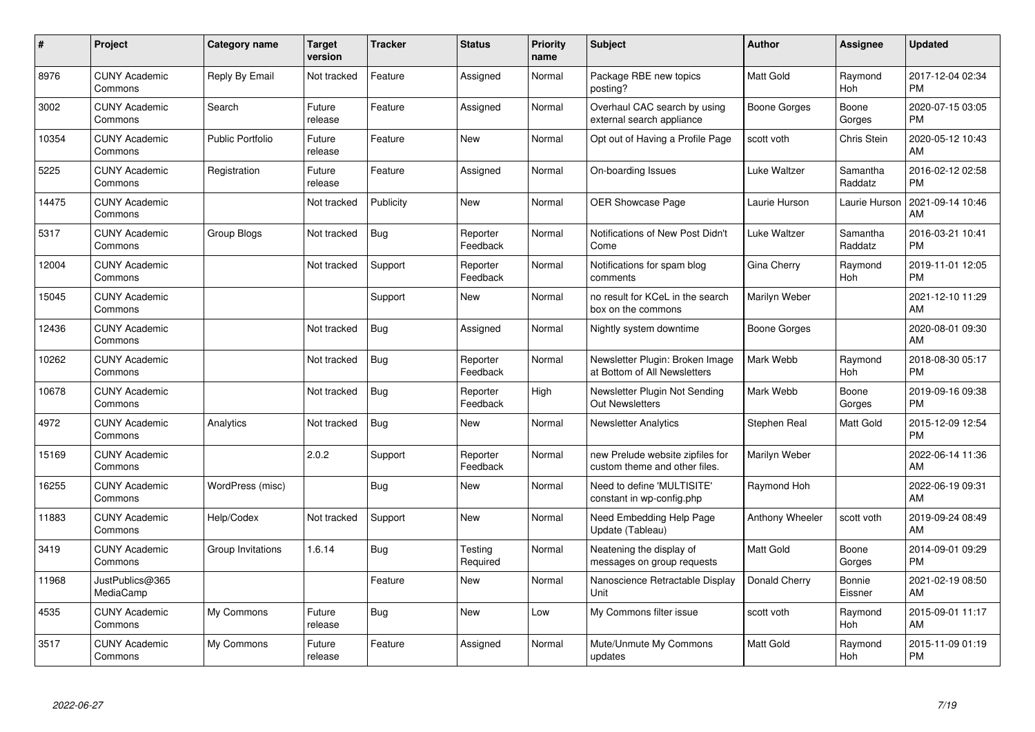| #     | Project                         | <b>Category name</b>    | <b>Target</b><br>version | <b>Tracker</b> | <b>Status</b>        | <b>Priority</b><br>name | <b>Subject</b>                                                    | <b>Author</b>    | <b>Assignee</b>     | <b>Updated</b>                |
|-------|---------------------------------|-------------------------|--------------------------|----------------|----------------------|-------------------------|-------------------------------------------------------------------|------------------|---------------------|-------------------------------|
| 8976  | <b>CUNY Academic</b><br>Commons | Reply By Email          | Not tracked              | Feature        | Assigned             | Normal                  | Package RBE new topics<br>posting?                                | <b>Matt Gold</b> | Raymond<br>Hoh      | 2017-12-04 02:34<br><b>PM</b> |
| 3002  | <b>CUNY Academic</b><br>Commons | Search                  | Future<br>release        | Feature        | Assigned             | Normal                  | Overhaul CAC search by using<br>external search appliance         | Boone Gorges     | Boone<br>Gorges     | 2020-07-15 03:05<br><b>PM</b> |
| 10354 | <b>CUNY Academic</b><br>Commons | <b>Public Portfolio</b> | Future<br>release        | Feature        | New                  | Normal                  | Opt out of Having a Profile Page                                  | scott voth       | Chris Stein         | 2020-05-12 10:43<br>AM        |
| 5225  | <b>CUNY Academic</b><br>Commons | Registration            | Future<br>release        | Feature        | Assigned             | Normal                  | On-boarding Issues                                                | Luke Waltzer     | Samantha<br>Raddatz | 2016-02-12 02:58<br><b>PM</b> |
| 14475 | <b>CUNY Academic</b><br>Commons |                         | Not tracked              | Publicity      | <b>New</b>           | Normal                  | <b>OER Showcase Page</b>                                          | Laurie Hurson    | Laurie Hurson       | 2021-09-14 10:46<br>AM        |
| 5317  | <b>CUNY Academic</b><br>Commons | Group Blogs             | Not tracked              | Bug            | Reporter<br>Feedback | Normal                  | Notifications of New Post Didn't<br>Come                          | Luke Waltzer     | Samantha<br>Raddatz | 2016-03-21 10:41<br><b>PM</b> |
| 12004 | <b>CUNY Academic</b><br>Commons |                         | Not tracked              | Support        | Reporter<br>Feedback | Normal                  | Notifications for spam blog<br>comments                           | Gina Cherry      | Raymond<br>Hoh      | 2019-11-01 12:05<br><b>PM</b> |
| 15045 | <b>CUNY Academic</b><br>Commons |                         |                          | Support        | <b>New</b>           | Normal                  | no result for KCeL in the search<br>box on the commons            | Marilyn Weber    |                     | 2021-12-10 11:29<br>AM        |
| 12436 | <b>CUNY Academic</b><br>Commons |                         | Not tracked              | Bug            | Assigned             | Normal                  | Nightly system downtime                                           | Boone Gorges     |                     | 2020-08-01 09:30<br>AM        |
| 10262 | <b>CUNY Academic</b><br>Commons |                         | Not tracked              | Bug            | Reporter<br>Feedback | Normal                  | Newsletter Plugin: Broken Image<br>at Bottom of All Newsletters   | Mark Webb        | Raymond<br>Hoh      | 2018-08-30 05:17<br><b>PM</b> |
| 10678 | <b>CUNY Academic</b><br>Commons |                         | Not tracked              | Bug            | Reporter<br>Feedback | High                    | Newsletter Plugin Not Sending<br><b>Out Newsletters</b>           | Mark Webb        | Boone<br>Gorges     | 2019-09-16 09:38<br><b>PM</b> |
| 4972  | <b>CUNY Academic</b><br>Commons | Analytics               | Not tracked              | Bug            | <b>New</b>           | Normal                  | <b>Newsletter Analytics</b>                                       | Stephen Real     | Matt Gold           | 2015-12-09 12:54<br><b>PM</b> |
| 15169 | <b>CUNY Academic</b><br>Commons |                         | 2.0.2                    | Support        | Reporter<br>Feedback | Normal                  | new Prelude website zipfiles for<br>custom theme and other files. | Marilyn Weber    |                     | 2022-06-14 11:36<br>AM        |
| 16255 | <b>CUNY Academic</b><br>Commons | WordPress (misc)        |                          | Bug            | New                  | Normal                  | Need to define 'MULTISITE'<br>constant in wp-config.php           | Raymond Hoh      |                     | 2022-06-19 09:31<br>AM        |
| 11883 | <b>CUNY Academic</b><br>Commons | Help/Codex              | Not tracked              | Support        | New                  | Normal                  | Need Embedding Help Page<br>Update (Tableau)                      | Anthony Wheeler  | scott voth          | 2019-09-24 08:49<br>AM        |
| 3419  | <b>CUNY Academic</b><br>Commons | Group Invitations       | 1.6.14                   | Bug            | Testing<br>Required  | Normal                  | Neatening the display of<br>messages on group requests            | <b>Matt Gold</b> | Boone<br>Gorges     | 2014-09-01 09:29<br><b>PM</b> |
| 11968 | JustPublics@365<br>MediaCamp    |                         |                          | Feature        | <b>New</b>           | Normal                  | Nanoscience Retractable Display<br>Unit                           | Donald Cherry    | Bonnie<br>Eissner   | 2021-02-19 08:50<br>AM        |
| 4535  | <b>CUNY Academic</b><br>Commons | My Commons              | Future<br>release        | Bug            | <b>New</b>           | Low                     | My Commons filter issue                                           | scott voth       | Raymond<br>Hoh      | 2015-09-01 11:17<br>AM        |
| 3517  | <b>CUNY Academic</b><br>Commons | My Commons              | Future<br>release        | Feature        | Assigned             | Normal                  | Mute/Unmute My Commons<br>updates                                 | Matt Gold        | Raymond<br>Hoh      | 2015-11-09 01:19<br>PM        |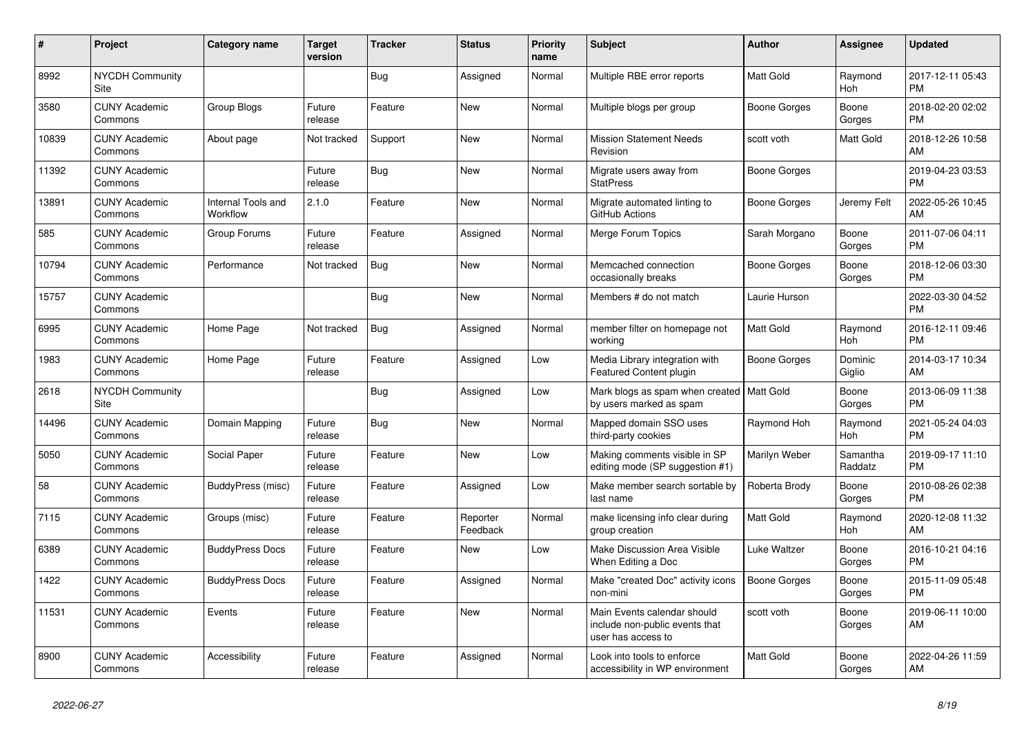| #     | Project                         | <b>Category name</b>           | Target<br>version | <b>Tracker</b> | <b>Status</b>        | <b>Priority</b><br>name | <b>Subject</b>                                                                      | <b>Author</b>       | <b>Assignee</b>       | <b>Updated</b>                |
|-------|---------------------------------|--------------------------------|-------------------|----------------|----------------------|-------------------------|-------------------------------------------------------------------------------------|---------------------|-----------------------|-------------------------------|
| 8992  | <b>NYCDH Community</b><br>Site  |                                |                   | <b>Bug</b>     | Assigned             | Normal                  | Multiple RBE error reports                                                          | Matt Gold           | Raymond<br>Hoh        | 2017-12-11 05:43<br><b>PM</b> |
| 3580  | <b>CUNY Academic</b><br>Commons | Group Blogs                    | Future<br>release | Feature        | New                  | Normal                  | Multiple blogs per group                                                            | Boone Gorges        | Boone<br>Gorges       | 2018-02-20 02:02<br><b>PM</b> |
| 10839 | <b>CUNY Academic</b><br>Commons | About page                     | Not tracked       | Support        | <b>New</b>           | Normal                  | <b>Mission Statement Needs</b><br>Revision                                          | scott voth          | Matt Gold             | 2018-12-26 10:58<br>AM        |
| 11392 | <b>CUNY Academic</b><br>Commons |                                | Future<br>release | <b>Bug</b>     | <b>New</b>           | Normal                  | Migrate users away from<br><b>StatPress</b>                                         | Boone Gorges        |                       | 2019-04-23 03:53<br><b>PM</b> |
| 13891 | <b>CUNY Academic</b><br>Commons | Internal Tools and<br>Workflow | 2.1.0             | Feature        | New                  | Normal                  | Migrate automated linting to<br>GitHub Actions                                      | Boone Gorges        | Jeremy Felt           | 2022-05-26 10:45<br>AM        |
| 585   | <b>CUNY Academic</b><br>Commons | Group Forums                   | Future<br>release | Feature        | Assigned             | Normal                  | Merge Forum Topics                                                                  | Sarah Morgano       | Boone<br>Gorges       | 2011-07-06 04:11<br><b>PM</b> |
| 10794 | <b>CUNY Academic</b><br>Commons | Performance                    | Not tracked       | Bug            | <b>New</b>           | Normal                  | Memcached connection<br>occasionally breaks                                         | Boone Gorges        | Boone<br>Gorges       | 2018-12-06 03:30<br><b>PM</b> |
| 15757 | <b>CUNY Academic</b><br>Commons |                                |                   | Bug            | New                  | Normal                  | Members # do not match                                                              | Laurie Hurson       |                       | 2022-03-30 04:52<br><b>PM</b> |
| 6995  | <b>CUNY Academic</b><br>Commons | Home Page                      | Not tracked       | <b>Bug</b>     | Assigned             | Normal                  | member filter on homepage not<br>working                                            | Matt Gold           | Raymond<br>Hoh        | 2016-12-11 09:46<br><b>PM</b> |
| 1983  | <b>CUNY Academic</b><br>Commons | Home Page                      | Future<br>release | Feature        | Assigned             | Low                     | Media Library integration with<br>Featured Content plugin                           | Boone Gorges        | Dominic<br>Giglio     | 2014-03-17 10:34<br>AM        |
| 2618  | <b>NYCDH Community</b><br>Site  |                                |                   | Bug            | Assigned             | Low                     | Mark blogs as spam when created   Matt Gold<br>by users marked as spam              |                     | Boone<br>Gorges       | 2013-06-09 11:38<br><b>PM</b> |
| 14496 | <b>CUNY Academic</b><br>Commons | Domain Mapping                 | Future<br>release | <b>Bug</b>     | New                  | Normal                  | Mapped domain SSO uses<br>third-party cookies                                       | Raymond Hoh         | Raymond<br><b>Hoh</b> | 2021-05-24 04:03<br><b>PM</b> |
| 5050  | <b>CUNY Academic</b><br>Commons | Social Paper                   | Future<br>release | Feature        | <b>New</b>           | Low                     | Making comments visible in SP<br>editing mode (SP suggestion #1)                    | Marilyn Weber       | Samantha<br>Raddatz   | 2019-09-17 11:10<br><b>PM</b> |
| 58    | <b>CUNY Academic</b><br>Commons | BuddyPress (misc)              | Future<br>release | Feature        | Assigned             | Low                     | Make member search sortable by<br>last name                                         | Roberta Brody       | Boone<br>Gorges       | 2010-08-26 02:38<br><b>PM</b> |
| 7115  | <b>CUNY Academic</b><br>Commons | Groups (misc)                  | Future<br>release | Feature        | Reporter<br>Feedback | Normal                  | make licensing info clear during<br>group creation                                  | Matt Gold           | Raymond<br>Hoh        | 2020-12-08 11:32<br>AM        |
| 6389  | <b>CUNY Academic</b><br>Commons | <b>BuddyPress Docs</b>         | Future<br>release | Feature        | New                  | Low                     | Make Discussion Area Visible<br>When Editing a Doc                                  | Luke Waltzer        | Boone<br>Gorges       | 2016-10-21 04:16<br><b>PM</b> |
| 1422  | <b>CUNY Academic</b><br>Commons | <b>BuddyPress Docs</b>         | Future<br>release | Feature        | Assigned             | Normal                  | Make "created Doc" activity icons<br>non-mini                                       | <b>Boone Gorges</b> | Boone<br>Gorges       | 2015-11-09 05:48<br><b>PM</b> |
| 11531 | <b>CUNY Academic</b><br>Commons | Events                         | Future<br>release | Feature        | New                  | Normal                  | Main Events calendar should<br>include non-public events that<br>user has access to | scott voth          | Boone<br>Gorges       | 2019-06-11 10:00<br>AM        |
| 8900  | <b>CUNY Academic</b><br>Commons | Accessibility                  | Future<br>release | Feature        | Assigned             | Normal                  | Look into tools to enforce<br>accessibility in WP environment                       | <b>Matt Gold</b>    | Boone<br>Gorges       | 2022-04-26 11:59<br>AM        |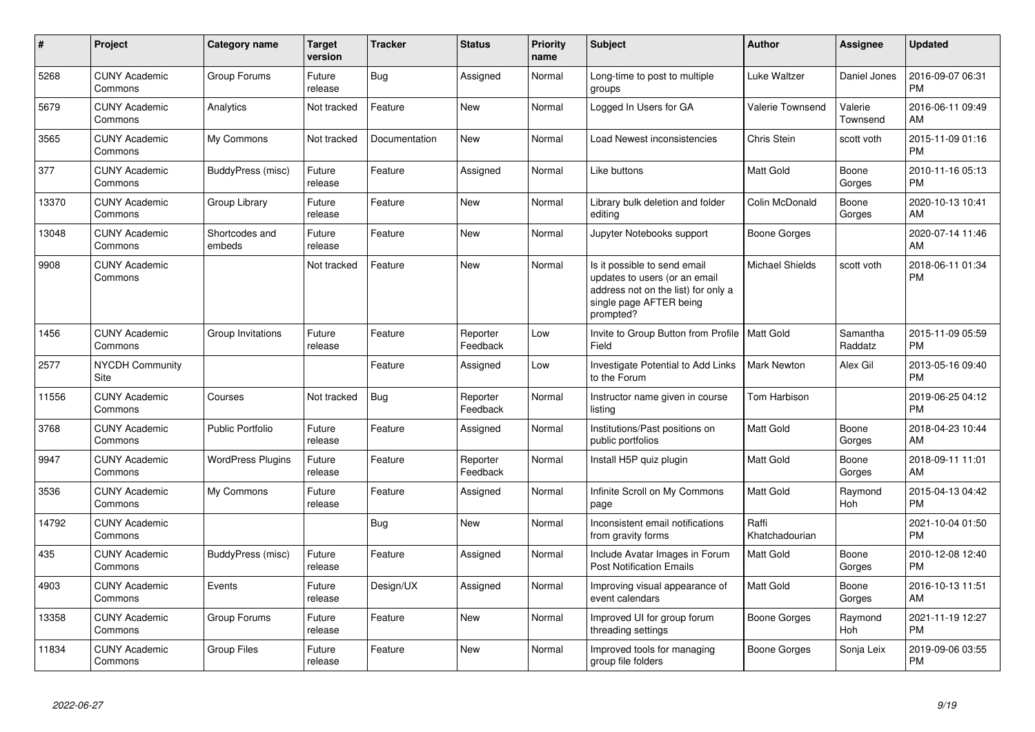| $\pmb{\#}$ | Project                               | <b>Category name</b>     | Target<br>version | <b>Tracker</b> | <b>Status</b>        | <b>Priority</b><br>name | <b>Subject</b>                                                                                                                               | Author                  | <b>Assignee</b>       | <b>Updated</b>                |
|------------|---------------------------------------|--------------------------|-------------------|----------------|----------------------|-------------------------|----------------------------------------------------------------------------------------------------------------------------------------------|-------------------------|-----------------------|-------------------------------|
| 5268       | <b>CUNY Academic</b><br>Commons       | Group Forums             | Future<br>release | <b>Bug</b>     | Assigned             | Normal                  | Long-time to post to multiple<br>groups                                                                                                      | Luke Waltzer            | Daniel Jones          | 2016-09-07 06:31<br><b>PM</b> |
| 5679       | <b>CUNY Academic</b><br>Commons       | Analytics                | Not tracked       | Feature        | <b>New</b>           | Normal                  | Logged In Users for GA                                                                                                                       | <b>Valerie Townsend</b> | Valerie<br>Townsend   | 2016-06-11 09:49<br>AM        |
| 3565       | <b>CUNY Academic</b><br>Commons       | My Commons               | Not tracked       | Documentation  | New                  | Normal                  | Load Newest inconsistencies                                                                                                                  | Chris Stein             | scott voth            | 2015-11-09 01:16<br>PM        |
| 377        | <b>CUNY Academic</b><br>Commons       | BuddyPress (misc)        | Future<br>release | Feature        | Assigned             | Normal                  | Like buttons                                                                                                                                 | Matt Gold               | Boone<br>Gorges       | 2010-11-16 05:13<br><b>PM</b> |
| 13370      | <b>CUNY Academic</b><br>Commons       | Group Library            | Future<br>release | Feature        | New                  | Normal                  | Library bulk deletion and folder<br>editing                                                                                                  | Colin McDonald          | Boone<br>Gorges       | 2020-10-13 10:41<br>AM        |
| 13048      | <b>CUNY Academic</b><br>Commons       | Shortcodes and<br>embeds | Future<br>release | Feature        | New                  | Normal                  | Jupyter Notebooks support                                                                                                                    | <b>Boone Gorges</b>     |                       | 2020-07-14 11:46<br>AM        |
| 9908       | <b>CUNY Academic</b><br>Commons       |                          | Not tracked       | Feature        | <b>New</b>           | Normal                  | Is it possible to send email<br>updates to users (or an email<br>address not on the list) for only a<br>single page AFTER being<br>prompted? | <b>Michael Shields</b>  | scott voth            | 2018-06-11 01:34<br>PM        |
| 1456       | <b>CUNY Academic</b><br>Commons       | Group Invitations        | Future<br>release | Feature        | Reporter<br>Feedback | Low                     | Invite to Group Button from Profile<br>Field                                                                                                 | <b>Matt Gold</b>        | Samantha<br>Raddatz   | 2015-11-09 05:59<br><b>PM</b> |
| 2577       | <b>NYCDH Community</b><br><b>Site</b> |                          |                   | Feature        | Assigned             | Low                     | Investigate Potential to Add Links<br>to the Forum                                                                                           | Mark Newton             | Alex Gil              | 2013-05-16 09:40<br><b>PM</b> |
| 11556      | <b>CUNY Academic</b><br>Commons       | Courses                  | Not tracked       | Bug            | Reporter<br>Feedback | Normal                  | Instructor name given in course<br>listing                                                                                                   | Tom Harbison            |                       | 2019-06-25 04:12<br><b>PM</b> |
| 3768       | <b>CUNY Academic</b><br>Commons       | Public Portfolio         | Future<br>release | Feature        | Assigned             | Normal                  | Institutions/Past positions on<br>public portfolios                                                                                          | Matt Gold               | Boone<br>Gorges       | 2018-04-23 10:44<br>AM        |
| 9947       | <b>CUNY Academic</b><br>Commons       | <b>WordPress Plugins</b> | Future<br>release | Feature        | Reporter<br>Feedback | Normal                  | Install H5P quiz plugin                                                                                                                      | Matt Gold               | Boone<br>Gorges       | 2018-09-11 11:01<br>AM        |
| 3536       | <b>CUNY Academic</b><br>Commons       | My Commons               | Future<br>release | Feature        | Assigned             | Normal                  | Infinite Scroll on My Commons<br>page                                                                                                        | Matt Gold               | Raymond<br>Hoh        | 2015-04-13 04:42<br><b>PM</b> |
| 14792      | <b>CUNY Academic</b><br>Commons       |                          |                   | Bug            | <b>New</b>           | Normal                  | Inconsistent email notifications<br>from gravity forms                                                                                       | Raffi<br>Khatchadourian |                       | 2021-10-04 01:50<br>PM        |
| 435        | <b>CUNY Academic</b><br>Commons       | BuddyPress (misc)        | Future<br>release | Feature        | Assigned             | Normal                  | Include Avatar Images in Forum<br><b>Post Notification Emails</b>                                                                            | Matt Gold               | Boone<br>Gorges       | 2010-12-08 12:40<br><b>PM</b> |
| 4903       | <b>CUNY Academic</b><br>Commons       | Events                   | Future<br>release | Design/UX      | Assigned             | Normal                  | Improving visual appearance of<br>event calendars                                                                                            | <b>Matt Gold</b>        | Boone<br>Gorges       | 2016-10-13 11:51<br>AM        |
| 13358      | <b>CUNY Academic</b><br>Commons       | Group Forums             | Future<br>release | Feature        | <b>New</b>           | Normal                  | Improved UI for group forum<br>threading settings                                                                                            | <b>Boone Gorges</b>     | Raymond<br><b>Hoh</b> | 2021-11-19 12:27<br><b>PM</b> |
| 11834      | <b>CUNY Academic</b><br>Commons       | <b>Group Files</b>       | Future<br>release | Feature        | <b>New</b>           | Normal                  | Improved tools for managing<br>group file folders                                                                                            | Boone Gorges            | Sonja Leix            | 2019-09-06 03:55<br>PM        |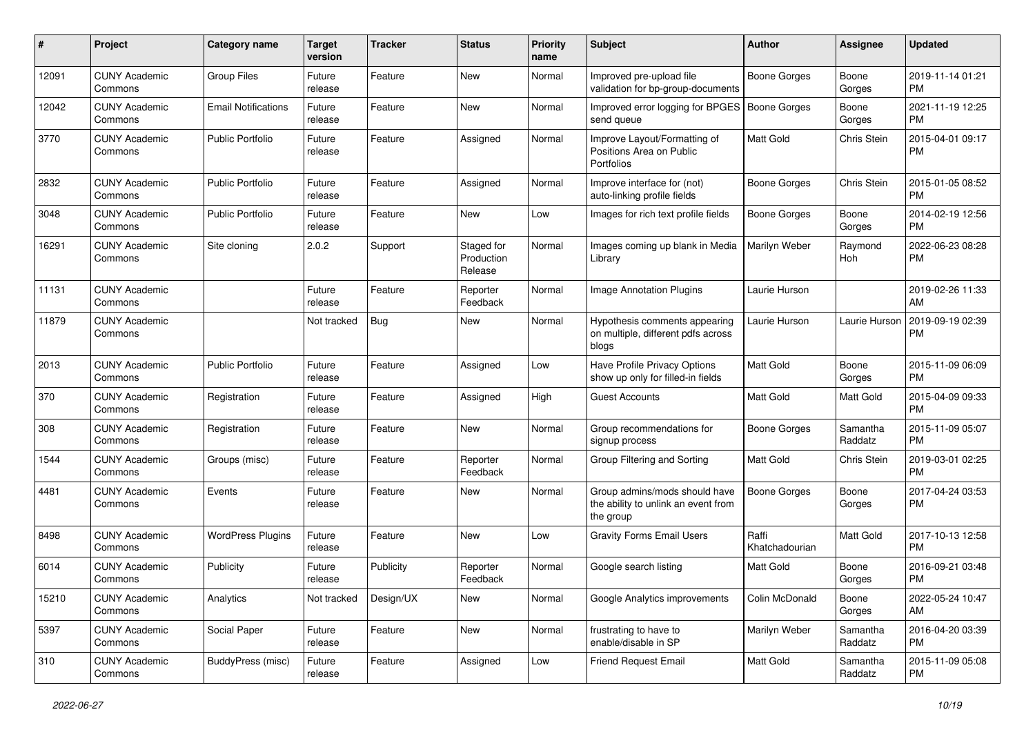| #     | Project                         | <b>Category name</b>       | <b>Target</b><br>version | <b>Tracker</b> | <b>Status</b>                       | <b>Priority</b><br>name | <b>Subject</b>                                                                    | <b>Author</b>           | Assignee            | <b>Updated</b>                |
|-------|---------------------------------|----------------------------|--------------------------|----------------|-------------------------------------|-------------------------|-----------------------------------------------------------------------------------|-------------------------|---------------------|-------------------------------|
| 12091 | <b>CUNY Academic</b><br>Commons | <b>Group Files</b>         | Future<br>release        | Feature        | <b>New</b>                          | Normal                  | Improved pre-upload file<br>validation for bp-group-documents                     | <b>Boone Gorges</b>     | Boone<br>Gorges     | 2019-11-14 01:21<br><b>PM</b> |
| 12042 | <b>CUNY Academic</b><br>Commons | <b>Email Notifications</b> | Future<br>release        | Feature        | <b>New</b>                          | Normal                  | Improved error logging for BPGES<br>send queue                                    | <b>Boone Gorges</b>     | Boone<br>Gorges     | 2021-11-19 12:25<br><b>PM</b> |
| 3770  | <b>CUNY Academic</b><br>Commons | <b>Public Portfolio</b>    | Future<br>release        | Feature        | Assigned                            | Normal                  | Improve Layout/Formatting of<br>Positions Area on Public<br><b>Portfolios</b>     | Matt Gold               | Chris Stein         | 2015-04-01 09:17<br><b>PM</b> |
| 2832  | <b>CUNY Academic</b><br>Commons | <b>Public Portfolio</b>    | Future<br>release        | Feature        | Assigned                            | Normal                  | Improve interface for (not)<br>auto-linking profile fields                        | <b>Boone Gorges</b>     | Chris Stein         | 2015-01-05 08:52<br><b>PM</b> |
| 3048  | <b>CUNY Academic</b><br>Commons | <b>Public Portfolio</b>    | Future<br>release        | Feature        | New                                 | Low                     | Images for rich text profile fields                                               | Boone Gorges            | Boone<br>Gorges     | 2014-02-19 12:56<br><b>PM</b> |
| 16291 | <b>CUNY Academic</b><br>Commons | Site cloning               | 2.0.2                    | Support        | Staged for<br>Production<br>Release | Normal                  | Images coming up blank in Media<br>Library                                        | Marilyn Weber           | Raymond<br>Hoh      | 2022-06-23 08:28<br><b>PM</b> |
| 11131 | <b>CUNY Academic</b><br>Commons |                            | Future<br>release        | Feature        | Reporter<br>Feedback                | Normal                  | <b>Image Annotation Plugins</b>                                                   | Laurie Hurson           |                     | 2019-02-26 11:33<br>AM        |
| 11879 | <b>CUNY Academic</b><br>Commons |                            | Not tracked              | <b>Bug</b>     | New                                 | Normal                  | Hypothesis comments appearing<br>on multiple, different pdfs across<br>blogs      | Laurie Hurson           | Laurie Hurson       | 2019-09-19 02:39<br><b>PM</b> |
| 2013  | <b>CUNY Academic</b><br>Commons | <b>Public Portfolio</b>    | Future<br>release        | Feature        | Assigned                            | Low                     | Have Profile Privacy Options<br>show up only for filled-in fields                 | Matt Gold               | Boone<br>Gorges     | 2015-11-09 06:09<br><b>PM</b> |
| 370   | <b>CUNY Academic</b><br>Commons | Registration               | Future<br>release        | Feature        | Assigned                            | High                    | Guest Accounts                                                                    | Matt Gold               | Matt Gold           | 2015-04-09 09:33<br><b>PM</b> |
| 308   | <b>CUNY Academic</b><br>Commons | Registration               | Future<br>release        | Feature        | New                                 | Normal                  | Group recommendations for<br>signup process                                       | <b>Boone Gorges</b>     | Samantha<br>Raddatz | 2015-11-09 05:07<br><b>PM</b> |
| 1544  | <b>CUNY Academic</b><br>Commons | Groups (misc)              | Future<br>release        | Feature        | Reporter<br>Feedback                | Normal                  | Group Filtering and Sorting                                                       | Matt Gold               | Chris Stein         | 2019-03-01 02:25<br><b>PM</b> |
| 4481  | <b>CUNY Academic</b><br>Commons | Events                     | Future<br>release        | Feature        | New                                 | Normal                  | Group admins/mods should have<br>the ability to unlink an event from<br>the group | <b>Boone Gorges</b>     | Boone<br>Gorges     | 2017-04-24 03:53<br><b>PM</b> |
| 8498  | <b>CUNY Academic</b><br>Commons | <b>WordPress Plugins</b>   | Future<br>release        | Feature        | <b>New</b>                          | Low                     | <b>Gravity Forms Email Users</b>                                                  | Raffi<br>Khatchadourian | Matt Gold           | 2017-10-13 12:58<br><b>PM</b> |
| 6014  | <b>CUNY Academic</b><br>Commons | Publicity                  | Future<br>release        | Publicity      | Reporter<br>Feedback                | Normal                  | Google search listing                                                             | <b>Matt Gold</b>        | Boone<br>Gorges     | 2016-09-21 03:48<br><b>PM</b> |
| 15210 | <b>CUNY Academic</b><br>Commons | Analytics                  | Not tracked              | Design/UX      | New                                 | Normal                  | Google Analytics improvements                                                     | Colin McDonald          | Boone<br>Gorges     | 2022-05-24 10:47<br>AM        |
| 5397  | <b>CUNY Academic</b><br>Commons | Social Paper               | Future<br>release        | Feature        | New                                 | Normal                  | frustrating to have to<br>enable/disable in SP                                    | Marilyn Weber           | Samantha<br>Raddatz | 2016-04-20 03:39<br><b>PM</b> |
| 310   | <b>CUNY Academic</b><br>Commons | BuddyPress (misc)          | Future<br>release        | Feature        | Assigned                            | Low                     | <b>Friend Request Email</b>                                                       | Matt Gold               | Samantha<br>Raddatz | 2015-11-09 05:08<br>PM        |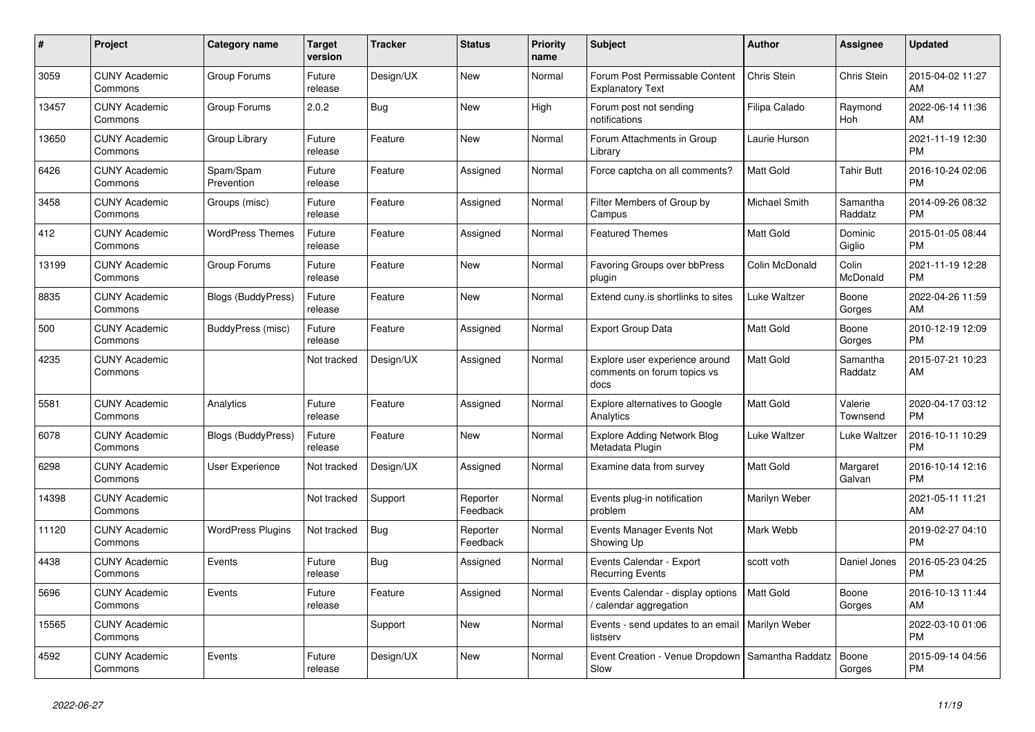| $\pmb{\#}$ | <b>Project</b>                  | Category name             | <b>Target</b><br>version | <b>Tracker</b> | <b>Status</b>        | <b>Priority</b><br>name | <b>Subject</b>                                                        | <b>Author</b>    | <b>Assignee</b>     | <b>Updated</b>                |
|------------|---------------------------------|---------------------------|--------------------------|----------------|----------------------|-------------------------|-----------------------------------------------------------------------|------------------|---------------------|-------------------------------|
| 3059       | <b>CUNY Academic</b><br>Commons | Group Forums              | Future<br>release        | Design/UX      | <b>New</b>           | Normal                  | Forum Post Permissable Content<br><b>Explanatory Text</b>             | Chris Stein      | Chris Stein         | 2015-04-02 11:27<br>AM        |
| 13457      | <b>CUNY Academic</b><br>Commons | Group Forums              | 2.0.2                    | <b>Bug</b>     | <b>New</b>           | High                    | Forum post not sending<br>notifications                               | Filipa Calado    | Raymond<br>Hoh      | 2022-06-14 11:36<br>AM        |
| 13650      | <b>CUNY Academic</b><br>Commons | Group Library             | Future<br>release        | Feature        | <b>New</b>           | Normal                  | Forum Attachments in Group<br>Library                                 | Laurie Hurson    |                     | 2021-11-19 12:30<br><b>PM</b> |
| 6426       | <b>CUNY Academic</b><br>Commons | Spam/Spam<br>Prevention   | Future<br>release        | Feature        | Assigned             | Normal                  | Force captcha on all comments?                                        | <b>Matt Gold</b> | <b>Tahir Butt</b>   | 2016-10-24 02:06<br><b>PM</b> |
| 3458       | <b>CUNY Academic</b><br>Commons | Groups (misc)             | Future<br>release        | Feature        | Assigned             | Normal                  | Filter Members of Group by<br>Campus                                  | Michael Smith    | Samantha<br>Raddatz | 2014-09-26 08:32<br><b>PM</b> |
| 412        | <b>CUNY Academic</b><br>Commons | <b>WordPress Themes</b>   | Future<br>release        | Feature        | Assigned             | Normal                  | <b>Featured Themes</b>                                                | Matt Gold        | Dominic<br>Giglio   | 2015-01-05 08:44<br><b>PM</b> |
| 13199      | <b>CUNY Academic</b><br>Commons | Group Forums              | Future<br>release        | Feature        | <b>New</b>           | Normal                  | Favoring Groups over bbPress<br>plugin                                | Colin McDonald   | Colin<br>McDonald   | 2021-11-19 12:28<br><b>PM</b> |
| 8835       | <b>CUNY Academic</b><br>Commons | Blogs (BuddyPress)        | Future<br>release        | Feature        | <b>New</b>           | Normal                  | Extend cuny.is shortlinks to sites                                    | Luke Waltzer     | Boone<br>Gorges     | 2022-04-26 11:59<br>AM        |
| 500        | <b>CUNY Academic</b><br>Commons | BuddyPress (misc)         | Future<br>release        | Feature        | Assigned             | Normal                  | <b>Export Group Data</b>                                              | Matt Gold        | Boone<br>Gorges     | 2010-12-19 12:09<br><b>PM</b> |
| 4235       | <b>CUNY Academic</b><br>Commons |                           | Not tracked              | Design/UX      | Assigned             | Normal                  | Explore user experience around<br>comments on forum topics vs<br>docs | <b>Matt Gold</b> | Samantha<br>Raddatz | 2015-07-21 10:23<br>AM        |
| 5581       | <b>CUNY Academic</b><br>Commons | Analytics                 | Future<br>release        | Feature        | Assigned             | Normal                  | <b>Explore alternatives to Google</b><br>Analytics                    | Matt Gold        | Valerie<br>Townsend | 2020-04-17 03:12<br><b>PM</b> |
| 6078       | <b>CUNY Academic</b><br>Commons | <b>Blogs (BuddyPress)</b> | Future<br>release        | Feature        | New                  | Normal                  | <b>Explore Adding Network Blog</b><br>Metadata Plugin                 | Luke Waltzer     | Luke Waltzer        | 2016-10-11 10:29<br><b>PM</b> |
| 6298       | <b>CUNY Academic</b><br>Commons | <b>User Experience</b>    | Not tracked              | Design/UX      | Assigned             | Normal                  | Examine data from survey                                              | <b>Matt Gold</b> | Margaret<br>Galvan  | 2016-10-14 12:16<br><b>PM</b> |
| 14398      | <b>CUNY Academic</b><br>Commons |                           | Not tracked              | Support        | Reporter<br>Feedback | Normal                  | Events plug-in notification<br>problem                                | Marilyn Weber    |                     | 2021-05-11 11:21<br>AM        |
| 11120      | <b>CUNY Academic</b><br>Commons | <b>WordPress Plugins</b>  | Not tracked              | <b>Bug</b>     | Reporter<br>Feedback | Normal                  | Events Manager Events Not<br>Showing Up                               | Mark Webb        |                     | 2019-02-27 04:10<br><b>PM</b> |
| 4438       | <b>CUNY Academic</b><br>Commons | Events                    | Future<br>release        | <b>Bug</b>     | Assigned             | Normal                  | Events Calendar - Export<br><b>Recurring Events</b>                   | scott voth       | Daniel Jones        | 2016-05-23 04:25<br><b>PM</b> |
| 5696       | <b>CUNY Academic</b><br>Commons | Events                    | Future<br>release        | Feature        | Assigned             | Normal                  | Events Calendar - display options<br>calendar aggregation             | <b>Matt Gold</b> | Boone<br>Gorges     | 2016-10-13 11:44<br>AM        |
| 15565      | <b>CUNY Academic</b><br>Commons |                           |                          | Support        | <b>New</b>           | Normal                  | Events - send updates to an email   Marilyn Weber<br>listserv         |                  |                     | 2022-03-10 01:06<br><b>PM</b> |
| 4592       | <b>CUNY Academic</b><br>Commons | Events                    | Future<br>release        | Design/UX      | <b>New</b>           | Normal                  | Event Creation - Venue Dropdown   Samantha Raddatz<br>Slow            |                  | Boone<br>Gorges     | 2015-09-14 04:56<br><b>PM</b> |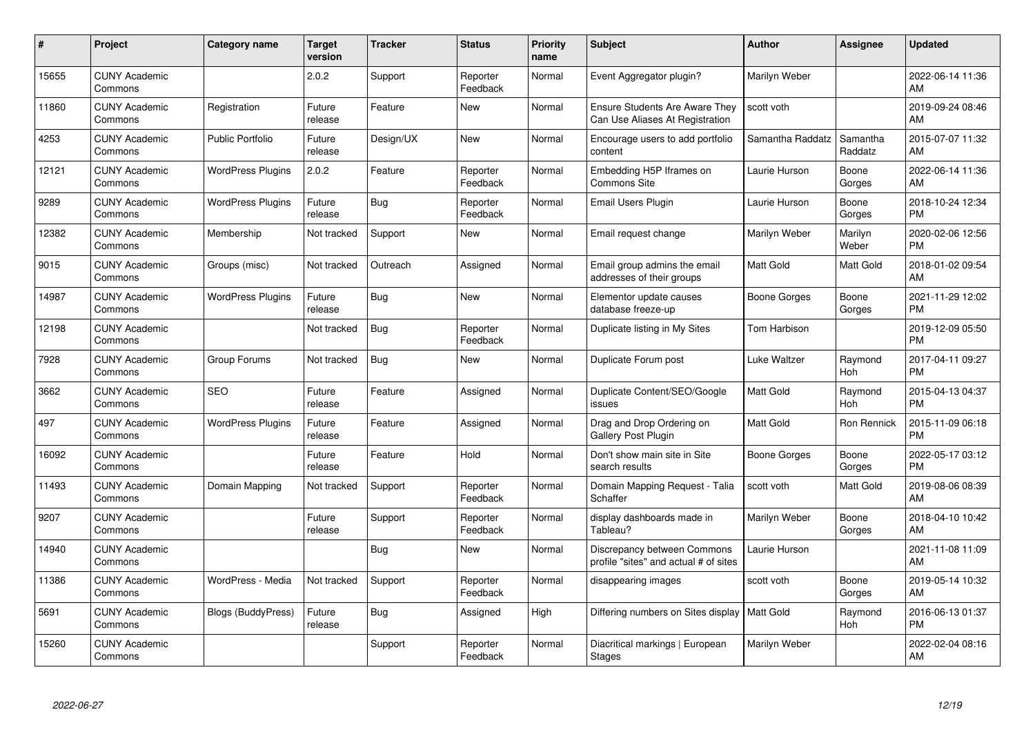| $\pmb{\#}$ | Project                         | <b>Category name</b>     | <b>Target</b><br>version | <b>Tracker</b> | <b>Status</b>        | <b>Priority</b><br>name | <b>Subject</b>                                                           | Author              | <b>Assignee</b>     | <b>Updated</b>                |
|------------|---------------------------------|--------------------------|--------------------------|----------------|----------------------|-------------------------|--------------------------------------------------------------------------|---------------------|---------------------|-------------------------------|
| 15655      | <b>CUNY Academic</b><br>Commons |                          | 2.0.2                    | Support        | Reporter<br>Feedback | Normal                  | Event Aggregator plugin?                                                 | Marilyn Weber       |                     | 2022-06-14 11:36<br>AM        |
| 11860      | <b>CUNY Academic</b><br>Commons | Registration             | Future<br>release        | Feature        | New                  | Normal                  | <b>Ensure Students Are Aware They</b><br>Can Use Aliases At Registration | scott voth          |                     | 2019-09-24 08:46<br>AM        |
| 4253       | <b>CUNY Academic</b><br>Commons | <b>Public Portfolio</b>  | Future<br>release        | Design/UX      | <b>New</b>           | Normal                  | Encourage users to add portfolio<br>content                              | Samantha Raddatz    | Samantha<br>Raddatz | 2015-07-07 11:32<br>AM        |
| 12121      | <b>CUNY Academic</b><br>Commons | <b>WordPress Plugins</b> | 2.0.2                    | Feature        | Reporter<br>Feedback | Normal                  | Embedding H5P Iframes on<br><b>Commons Site</b>                          | Laurie Hurson       | Boone<br>Gorges     | 2022-06-14 11:36<br>AM        |
| 9289       | <b>CUNY Academic</b><br>Commons | <b>WordPress Plugins</b> | Future<br>release        | <b>Bug</b>     | Reporter<br>Feedback | Normal                  | <b>Email Users Plugin</b>                                                | Laurie Hurson       | Boone<br>Gorges     | 2018-10-24 12:34<br><b>PM</b> |
| 12382      | <b>CUNY Academic</b><br>Commons | Membership               | Not tracked              | Support        | <b>New</b>           | Normal                  | Email request change                                                     | Marilyn Weber       | Marilyn<br>Weber    | 2020-02-06 12:56<br><b>PM</b> |
| 9015       | <b>CUNY Academic</b><br>Commons | Groups (misc)            | Not tracked              | Outreach       | Assigned             | Normal                  | Email group admins the email<br>addresses of their groups                | <b>Matt Gold</b>    | Matt Gold           | 2018-01-02 09:54<br>AM        |
| 14987      | <b>CUNY Academic</b><br>Commons | <b>WordPress Plugins</b> | Future<br>release        | Bug            | <b>New</b>           | Normal                  | Elementor update causes<br>database freeze-up                            | Boone Gorges        | Boone<br>Gorges     | 2021-11-29 12:02<br><b>PM</b> |
| 12198      | <b>CUNY Academic</b><br>Commons |                          | Not tracked              | Bug            | Reporter<br>Feedback | Normal                  | Duplicate listing in My Sites                                            | Tom Harbison        |                     | 2019-12-09 05:50<br><b>PM</b> |
| 7928       | <b>CUNY Academic</b><br>Commons | Group Forums             | Not tracked              | Bug            | <b>New</b>           | Normal                  | Duplicate Forum post                                                     | Luke Waltzer        | Raymond<br>Hoh      | 2017-04-11 09:27<br><b>PM</b> |
| 3662       | <b>CUNY Academic</b><br>Commons | <b>SEO</b>               | Future<br>release        | Feature        | Assigned             | Normal                  | Duplicate Content/SEO/Google<br>issues                                   | Matt Gold           | Raymond<br>Hoh      | 2015-04-13 04:37<br><b>PM</b> |
| 497        | <b>CUNY Academic</b><br>Commons | <b>WordPress Plugins</b> | Future<br>release        | Feature        | Assigned             | Normal                  | Drag and Drop Ordering on<br><b>Gallery Post Plugin</b>                  | <b>Matt Gold</b>    | Ron Rennick         | 2015-11-09 06:18<br><b>PM</b> |
| 16092      | <b>CUNY Academic</b><br>Commons |                          | Future<br>release        | Feature        | Hold                 | Normal                  | Don't show main site in Site<br>search results                           | <b>Boone Gorges</b> | Boone<br>Gorges     | 2022-05-17 03:12<br><b>PM</b> |
| 11493      | <b>CUNY Academic</b><br>Commons | Domain Mapping           | Not tracked              | Support        | Reporter<br>Feedback | Normal                  | Domain Mapping Request - Talia<br>Schaffer                               | scott voth          | Matt Gold           | 2019-08-06 08:39<br>AM        |
| 9207       | <b>CUNY Academic</b><br>Commons |                          | Future<br>release        | Support        | Reporter<br>Feedback | Normal                  | display dashboards made in<br>Tableau?                                   | Marilyn Weber       | Boone<br>Gorges     | 2018-04-10 10:42<br>AM        |
| 14940      | <b>CUNY Academic</b><br>Commons |                          |                          | <b>Bug</b>     | <b>New</b>           | Normal                  | Discrepancy between Commons<br>profile "sites" and actual # of sites     | Laurie Hurson       |                     | 2021-11-08 11:09<br>AM        |
| 11386      | <b>CUNY Academic</b><br>Commons | WordPress - Media        | Not tracked              | Support        | Reporter<br>Feedback | Normal                  | disappearing images                                                      | scott voth          | Boone<br>Gorges     | 2019-05-14 10:32<br>AM        |
| 5691       | <b>CUNY Academic</b><br>Commons | Blogs (BuddyPress)       | Future<br>release        | Bug            | Assigned             | High                    | Differing numbers on Sites display                                       | <b>Matt Gold</b>    | Raymond<br>Hoh      | 2016-06-13 01:37<br><b>PM</b> |
| 15260      | <b>CUNY Academic</b><br>Commons |                          |                          | Support        | Reporter<br>Feedback | Normal                  | Diacritical markings   European<br><b>Stages</b>                         | Marilyn Weber       |                     | 2022-02-04 08:16<br>AM        |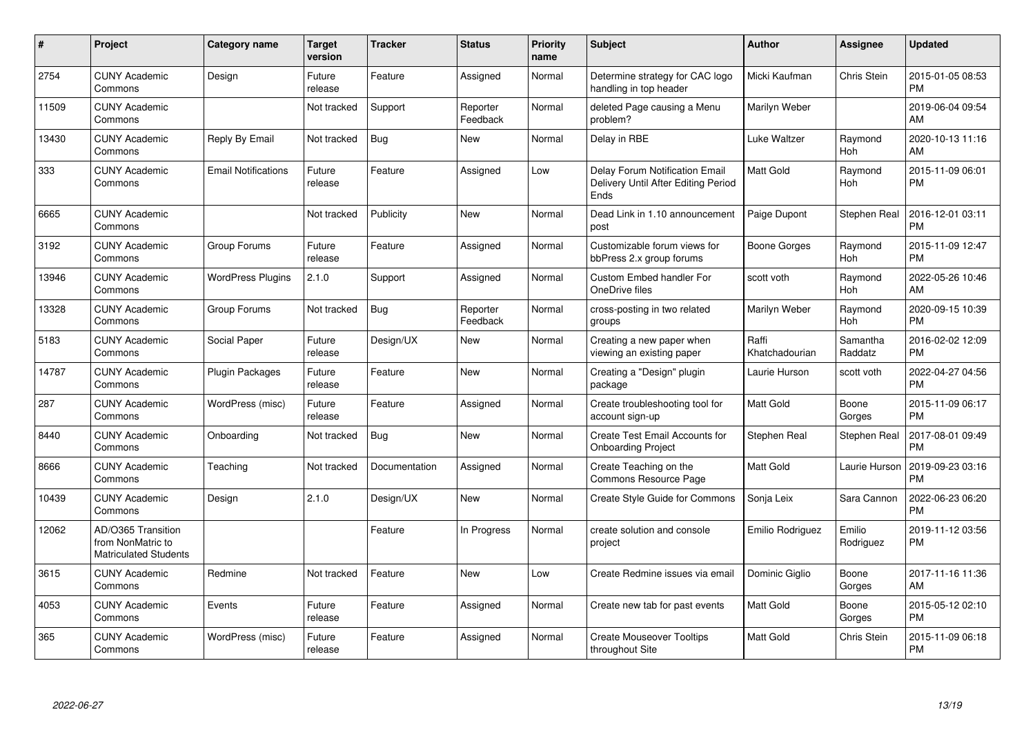| #     | Project                                                                 | <b>Category name</b>       | Target<br>version | <b>Tracker</b> | <b>Status</b>        | <b>Priority</b><br>name | <b>Subject</b>                                                                | <b>Author</b>           | <b>Assignee</b>       | <b>Updated</b>                |
|-------|-------------------------------------------------------------------------|----------------------------|-------------------|----------------|----------------------|-------------------------|-------------------------------------------------------------------------------|-------------------------|-----------------------|-------------------------------|
| 2754  | <b>CUNY Academic</b><br>Commons                                         | Design                     | Future<br>release | Feature        | Assigned             | Normal                  | Determine strategy for CAC logo<br>handling in top header                     | Micki Kaufman           | Chris Stein           | 2015-01-05 08:53<br><b>PM</b> |
| 11509 | <b>CUNY Academic</b><br>Commons                                         |                            | Not tracked       | Support        | Reporter<br>Feedback | Normal                  | deleted Page causing a Menu<br>problem?                                       | Marilyn Weber           |                       | 2019-06-04 09:54<br>AM        |
| 13430 | <b>CUNY Academic</b><br>Commons                                         | Reply By Email             | Not tracked       | <b>Bug</b>     | New                  | Normal                  | Delay in RBE                                                                  | Luke Waltzer            | Raymond<br>Hoh        | 2020-10-13 11:16<br>AM        |
| 333   | <b>CUNY Academic</b><br>Commons                                         | <b>Email Notifications</b> | Future<br>release | Feature        | Assigned             | Low                     | Delay Forum Notification Email<br>Delivery Until After Editing Period<br>Ends | Matt Gold               | Raymond<br>Hoh        | 2015-11-09 06:01<br><b>PM</b> |
| 6665  | <b>CUNY Academic</b><br>Commons                                         |                            | Not tracked       | Publicity      | <b>New</b>           | Normal                  | Dead Link in 1.10 announcement<br>post                                        | Paige Dupont            | <b>Stephen Real</b>   | 2016-12-01 03:11<br><b>PM</b> |
| 3192  | <b>CUNY Academic</b><br>Commons                                         | Group Forums               | Future<br>release | Feature        | Assigned             | Normal                  | Customizable forum views for<br>bbPress 2.x group forums                      | <b>Boone Gorges</b>     | Raymond<br><b>Hoh</b> | 2015-11-09 12:47<br><b>PM</b> |
| 13946 | <b>CUNY Academic</b><br>Commons                                         | <b>WordPress Plugins</b>   | 2.1.0             | Support        | Assigned             | Normal                  | <b>Custom Embed handler For</b><br>OneDrive files                             | scott voth              | Raymond<br><b>Hoh</b> | 2022-05-26 10:46<br>AM        |
| 13328 | <b>CUNY Academic</b><br>Commons                                         | Group Forums               | Not tracked       | <b>Bug</b>     | Reporter<br>Feedback | Normal                  | cross-posting in two related<br>groups                                        | Marilyn Weber           | Raymond<br><b>Hoh</b> | 2020-09-15 10:39<br><b>PM</b> |
| 5183  | <b>CUNY Academic</b><br>Commons                                         | Social Paper               | Future<br>release | Design/UX      | <b>New</b>           | Normal                  | Creating a new paper when<br>viewing an existing paper                        | Raffi<br>Khatchadourian | Samantha<br>Raddatz   | 2016-02-02 12:09<br><b>PM</b> |
| 14787 | <b>CUNY Academic</b><br>Commons                                         | <b>Plugin Packages</b>     | Future<br>release | Feature        | <b>New</b>           | Normal                  | Creating a "Design" plugin<br>package                                         | Laurie Hurson           | scott voth            | 2022-04-27 04:56<br>PM        |
| 287   | <b>CUNY Academic</b><br>Commons                                         | WordPress (misc)           | Future<br>release | Feature        | Assigned             | Normal                  | Create troubleshooting tool for<br>account sign-up                            | Matt Gold               | Boone<br>Gorges       | 2015-11-09 06:17<br><b>PM</b> |
| 8440  | <b>CUNY Academic</b><br>Commons                                         | Onboarding                 | Not tracked       | <b>Bug</b>     | <b>New</b>           | Normal                  | Create Test Email Accounts for<br><b>Onboarding Project</b>                   | Stephen Real            | <b>Stephen Real</b>   | 2017-08-01 09:49<br><b>PM</b> |
| 8666  | <b>CUNY Academic</b><br>Commons                                         | Teaching                   | Not tracked       | Documentation  | Assigned             | Normal                  | Create Teaching on the<br>Commons Resource Page                               | <b>Matt Gold</b>        | Laurie Hurson         | 2019-09-23 03:16<br><b>PM</b> |
| 10439 | <b>CUNY Academic</b><br>Commons                                         | Design                     | 2.1.0             | Design/UX      | New                  | Normal                  | <b>Create Style Guide for Commons</b>                                         | Sonja Leix              | Sara Cannon           | 2022-06-23 06:20<br><b>PM</b> |
| 12062 | AD/O365 Transition<br>from NonMatric to<br><b>Matriculated Students</b> |                            |                   | Feature        | In Progress          | Normal                  | create solution and console<br>project                                        | Emilio Rodriguez        | Emilio<br>Rodriguez   | 2019-11-12 03:56<br><b>PM</b> |
| 3615  | <b>CUNY Academic</b><br>Commons                                         | Redmine                    | Not tracked       | Feature        | <b>New</b>           | Low                     | Create Redmine issues via email                                               | Dominic Giglio          | Boone<br>Gorges       | 2017-11-16 11:36<br>AM        |
| 4053  | <b>CUNY Academic</b><br>Commons                                         | Events                     | Future<br>release | Feature        | Assigned             | Normal                  | Create new tab for past events                                                | Matt Gold               | Boone<br>Gorges       | 2015-05-12 02:10<br><b>PM</b> |
| 365   | <b>CUNY Academic</b><br>Commons                                         | WordPress (misc)           | Future<br>release | Feature        | Assigned             | Normal                  | <b>Create Mouseover Tooltips</b><br>throughout Site                           | Matt Gold               | Chris Stein           | 2015-11-09 06:18<br><b>PM</b> |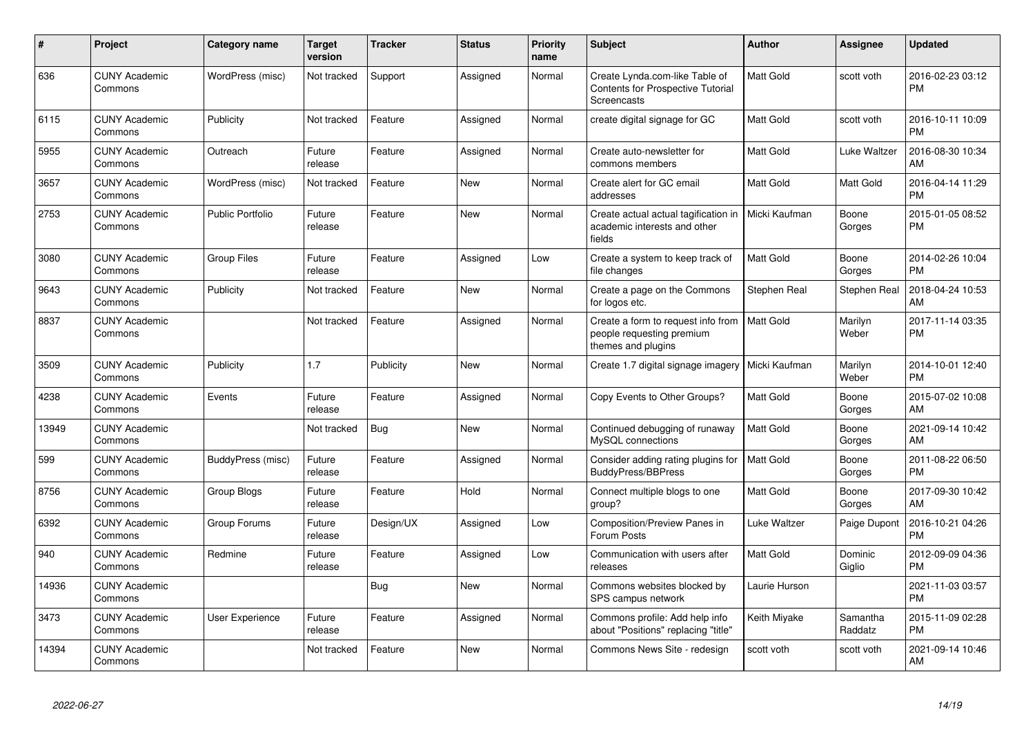| #     | <b>Project</b>                  | <b>Category name</b>    | <b>Target</b><br>version | <b>Tracker</b> | <b>Status</b> | Priority<br>name | <b>Subject</b>                                                                        | <b>Author</b>    | Assignee            | <b>Updated</b>                |
|-------|---------------------------------|-------------------------|--------------------------|----------------|---------------|------------------|---------------------------------------------------------------------------------------|------------------|---------------------|-------------------------------|
| 636   | <b>CUNY Academic</b><br>Commons | WordPress (misc)        | Not tracked              | Support        | Assigned      | Normal           | Create Lynda.com-like Table of<br>Contents for Prospective Tutorial<br>Screencasts    | Matt Gold        | scott voth          | 2016-02-23 03:12<br><b>PM</b> |
| 6115  | <b>CUNY Academic</b><br>Commons | Publicity               | Not tracked              | Feature        | Assigned      | Normal           | create digital signage for GC                                                         | Matt Gold        | scott voth          | 2016-10-11 10:09<br>РM        |
| 5955  | <b>CUNY Academic</b><br>Commons | Outreach                | Future<br>release        | Feature        | Assigned      | Normal           | Create auto-newsletter for<br>commons members                                         | Matt Gold        | Luke Waltzer        | 2016-08-30 10:34<br>AM        |
| 3657  | <b>CUNY Academic</b><br>Commons | WordPress (misc)        | Not tracked              | Feature        | New           | Normal           | Create alert for GC email<br>addresses                                                | Matt Gold        | Matt Gold           | 2016-04-14 11:29<br>PМ        |
| 2753  | <b>CUNY Academic</b><br>Commons | <b>Public Portfolio</b> | Future<br>release        | Feature        | New           | Normal           | Create actual actual tagification in<br>academic interests and other<br>fields        | Micki Kaufman    | Boone<br>Gorges     | 2015-01-05 08:52<br>PМ        |
| 3080  | <b>CUNY Academic</b><br>Commons | <b>Group Files</b>      | Future<br>release        | Feature        | Assigned      | Low              | Create a system to keep track of<br>file changes                                      | Matt Gold        | Boone<br>Gorges     | 2014-02-26 10:04<br><b>PM</b> |
| 9643  | <b>CUNY Academic</b><br>Commons | Publicity               | Not tracked              | Feature        | New           | Normal           | Create a page on the Commons<br>for logos etc.                                        | Stephen Real     | Stephen Real        | 2018-04-24 10:53<br>AM        |
| 8837  | <b>CUNY Academic</b><br>Commons |                         | Not tracked              | Feature        | Assigned      | Normal           | Create a form to request info from<br>people requesting premium<br>themes and plugins | <b>Matt Gold</b> | Marilyn<br>Weber    | 2017-11-14 03:35<br><b>PM</b> |
| 3509  | <b>CUNY Academic</b><br>Commons | Publicity               | 1.7                      | Publicity      | <b>New</b>    | Normal           | Create 1.7 digital signage imagery                                                    | Micki Kaufman    | Marilyn<br>Weber    | 2014-10-01 12:40<br><b>PM</b> |
| 4238  | <b>CUNY Academic</b><br>Commons | Events                  | Future<br>release        | Feature        | Assigned      | Normal           | Copy Events to Other Groups?                                                          | Matt Gold        | Boone<br>Gorges     | 2015-07-02 10:08<br>AM        |
| 13949 | <b>CUNY Academic</b><br>Commons |                         | Not tracked              | Bug            | <b>New</b>    | Normal           | Continued debugging of runaway<br>MySQL connections                                   | Matt Gold        | Boone<br>Gorges     | 2021-09-14 10:42<br>AM        |
| 599   | <b>CUNY Academic</b><br>Commons | BuddyPress (misc)       | Future<br>release        | Feature        | Assigned      | Normal           | Consider adding rating plugins for<br>BuddyPress/BBPress                              | Matt Gold        | Boone<br>Gorges     | 2011-08-22 06:50<br><b>PM</b> |
| 8756  | <b>CUNY Academic</b><br>Commons | Group Blogs             | Future<br>release        | Feature        | Hold          | Normal           | Connect multiple blogs to one<br>group?                                               | Matt Gold        | Boone<br>Gorges     | 2017-09-30 10:42<br>AM        |
| 6392  | <b>CUNY Academic</b><br>Commons | Group Forums            | Future<br>release        | Design/UX      | Assigned      | Low              | <b>Composition/Preview Panes in</b><br>Forum Posts                                    | Luke Waltzer     | Paige Dupont        | 2016-10-21 04:26<br>PM        |
| 940   | <b>CUNY Academic</b><br>Commons | Redmine                 | Future<br>release        | Feature        | Assigned      | Low              | Communication with users after<br>releases                                            | Matt Gold        | Dominic<br>Giglio   | 2012-09-09 04:36<br>PM        |
| 14936 | <b>CUNY Academic</b><br>Commons |                         |                          | <b>Bug</b>     | <b>New</b>    | Normal           | Commons websites blocked by<br>SPS campus network                                     | Laurie Hurson    |                     | 2021-11-03 03:57<br><b>PM</b> |
| 3473  | <b>CUNY Academic</b><br>Commons | User Experience         | Future<br>release        | Feature        | Assigned      | Normal           | Commons profile: Add help info<br>about "Positions" replacing "title"                 | Keith Miyake     | Samantha<br>Raddatz | 2015-11-09 02:28<br><b>PM</b> |
| 14394 | <b>CUNY Academic</b><br>Commons |                         | Not tracked              | Feature        | <b>New</b>    | Normal           | Commons News Site - redesign                                                          | scott voth       | scott voth          | 2021-09-14 10:46<br>AM        |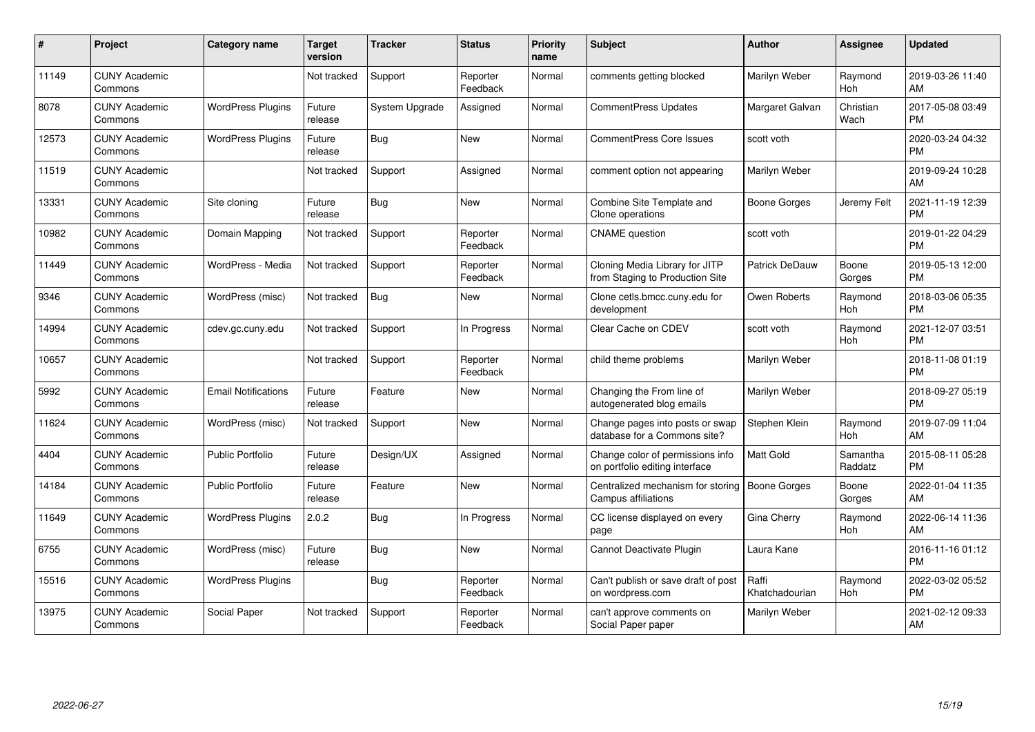| #     | <b>Project</b>                  | <b>Category name</b>       | <b>Target</b><br>version | <b>Tracker</b> | <b>Status</b>        | <b>Priority</b><br>name | <b>Subject</b>                                                     | <b>Author</b>           | <b>Assignee</b>       | <b>Updated</b>                |
|-------|---------------------------------|----------------------------|--------------------------|----------------|----------------------|-------------------------|--------------------------------------------------------------------|-------------------------|-----------------------|-------------------------------|
| 11149 | <b>CUNY Academic</b><br>Commons |                            | Not tracked              | Support        | Reporter<br>Feedback | Normal                  | comments getting blocked                                           | Marilyn Weber           | Raymond<br>Hoh        | 2019-03-26 11:40<br>AM        |
| 8078  | <b>CUNY Academic</b><br>Commons | <b>WordPress Plugins</b>   | Future<br>release        | System Upgrade | Assigned             | Normal                  | <b>CommentPress Updates</b>                                        | Margaret Galvan         | Christian<br>Wach     | 2017-05-08 03:49<br><b>PM</b> |
| 12573 | <b>CUNY Academic</b><br>Commons | <b>WordPress Plugins</b>   | Future<br>release        | Bug            | <b>New</b>           | Normal                  | <b>CommentPress Core Issues</b>                                    | scott voth              |                       | 2020-03-24 04:32<br><b>PM</b> |
| 11519 | <b>CUNY Academic</b><br>Commons |                            | Not tracked              | Support        | Assigned             | Normal                  | comment option not appearing                                       | Marilyn Weber           |                       | 2019-09-24 10:28<br>AM        |
| 13331 | <b>CUNY Academic</b><br>Commons | Site cloning               | Future<br>release        | Bug            | <b>New</b>           | Normal                  | Combine Site Template and<br>Clone operations                      | Boone Gorges            | Jeremy Felt           | 2021-11-19 12:39<br><b>PM</b> |
| 10982 | <b>CUNY Academic</b><br>Commons | Domain Mapping             | Not tracked              | Support        | Reporter<br>Feedback | Normal                  | <b>CNAME</b> question                                              | scott voth              |                       | 2019-01-22 04:29<br><b>PM</b> |
| 11449 | <b>CUNY Academic</b><br>Commons | WordPress - Media          | Not tracked              | Support        | Reporter<br>Feedback | Normal                  | Cloning Media Library for JITP<br>from Staging to Production Site  | Patrick DeDauw          | Boone<br>Gorges       | 2019-05-13 12:00<br><b>PM</b> |
| 9346  | <b>CUNY Academic</b><br>Commons | WordPress (misc)           | Not tracked              | Bug            | <b>New</b>           | Normal                  | Clone cetls.bmcc.cuny.edu for<br>development                       | Owen Roberts            | Raymond<br><b>Hoh</b> | 2018-03-06 05:35<br><b>PM</b> |
| 14994 | <b>CUNY Academic</b><br>Commons | cdev.gc.cuny.edu           | Not tracked              | Support        | In Progress          | Normal                  | Clear Cache on CDEV                                                | scott voth              | Raymond<br>Hoh        | 2021-12-07 03:51<br><b>PM</b> |
| 10657 | <b>CUNY Academic</b><br>Commons |                            | Not tracked              | Support        | Reporter<br>Feedback | Normal                  | child theme problems                                               | Marilyn Weber           |                       | 2018-11-08 01:19<br><b>PM</b> |
| 5992  | <b>CUNY Academic</b><br>Commons | <b>Email Notifications</b> | Future<br>release        | Feature        | <b>New</b>           | Normal                  | Changing the From line of<br>autogenerated blog emails             | Marilyn Weber           |                       | 2018-09-27 05:19<br><b>PM</b> |
| 11624 | <b>CUNY Academic</b><br>Commons | WordPress (misc)           | Not tracked              | Support        | <b>New</b>           | Normal                  | Change pages into posts or swap<br>database for a Commons site?    | Stephen Klein           | Raymond<br>Hoh        | 2019-07-09 11:04<br>AM        |
| 4404  | <b>CUNY Academic</b><br>Commons | <b>Public Portfolio</b>    | Future<br>release        | Design/UX      | Assigned             | Normal                  | Change color of permissions info<br>on portfolio editing interface | Matt Gold               | Samantha<br>Raddatz   | 2015-08-11 05:28<br><b>PM</b> |
| 14184 | <b>CUNY Academic</b><br>Commons | <b>Public Portfolio</b>    | Future<br>release        | Feature        | <b>New</b>           | Normal                  | Centralized mechanism for storing<br><b>Campus affiliations</b>    | Boone Gorges            | Boone<br>Gorges       | 2022-01-04 11:35<br>AM        |
| 11649 | <b>CUNY Academic</b><br>Commons | <b>WordPress Plugins</b>   | 2.0.2                    | Bug            | In Progress          | Normal                  | CC license displayed on every<br>page                              | Gina Cherry             | Raymond<br><b>Hoh</b> | 2022-06-14 11:36<br>AM        |
| 6755  | <b>CUNY Academic</b><br>Commons | WordPress (misc)           | Future<br>release        | <b>Bug</b>     | <b>New</b>           | Normal                  | Cannot Deactivate Plugin                                           | Laura Kane              |                       | 2016-11-16 01:12<br><b>PM</b> |
| 15516 | <b>CUNY Academic</b><br>Commons | <b>WordPress Plugins</b>   |                          | Bug            | Reporter<br>Feedback | Normal                  | Can't publish or save draft of post<br>on wordpress.com            | Raffi<br>Khatchadourian | Raymond<br>Hoh        | 2022-03-02 05:52<br><b>PM</b> |
| 13975 | <b>CUNY Academic</b><br>Commons | Social Paper               | Not tracked              | Support        | Reporter<br>Feedback | Normal                  | can't approve comments on<br>Social Paper paper                    | Marilyn Weber           |                       | 2021-02-12 09:33<br>AM        |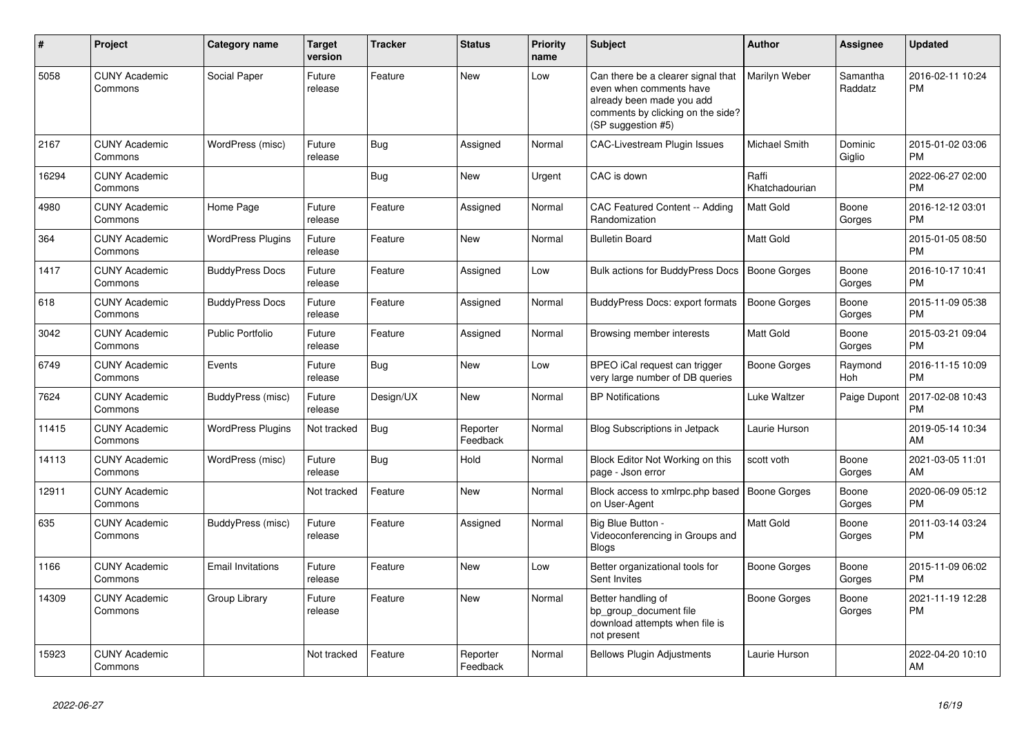| $\#$  | <b>Project</b>                  | <b>Category name</b>     | <b>Target</b><br>version | <b>Tracker</b> | <b>Status</b>        | Priority<br>name | <b>Subject</b>                                                                                                                                        | <b>Author</b>           | <b>Assignee</b>     | <b>Updated</b>                |
|-------|---------------------------------|--------------------------|--------------------------|----------------|----------------------|------------------|-------------------------------------------------------------------------------------------------------------------------------------------------------|-------------------------|---------------------|-------------------------------|
| 5058  | <b>CUNY Academic</b><br>Commons | Social Paper             | Future<br>release        | Feature        | <b>New</b>           | Low              | Can there be a clearer signal that<br>even when comments have<br>already been made you add<br>comments by clicking on the side?<br>(SP suggestion #5) | Marilyn Weber           | Samantha<br>Raddatz | 2016-02-11 10:24<br><b>PM</b> |
| 2167  | <b>CUNY Academic</b><br>Commons | WordPress (misc)         | Future<br>release        | Bug            | Assigned             | Normal           | CAC-Livestream Plugin Issues                                                                                                                          | Michael Smith           | Dominic<br>Giglio   | 2015-01-02 03:06<br><b>PM</b> |
| 16294 | <b>CUNY Academic</b><br>Commons |                          |                          | <b>Bug</b>     | <b>New</b>           | Urgent           | CAC is down                                                                                                                                           | Raffi<br>Khatchadourian |                     | 2022-06-27 02:00<br><b>PM</b> |
| 4980  | <b>CUNY Academic</b><br>Commons | Home Page                | Future<br>release        | Feature        | Assigned             | Normal           | <b>CAC Featured Content -- Adding</b><br>Randomization                                                                                                | Matt Gold               | Boone<br>Gorges     | 2016-12-12 03:01<br><b>PM</b> |
| 364   | <b>CUNY Academic</b><br>Commons | <b>WordPress Plugins</b> | Future<br>release        | Feature        | <b>New</b>           | Normal           | <b>Bulletin Board</b>                                                                                                                                 | Matt Gold               |                     | 2015-01-05 08:50<br><b>PM</b> |
| 1417  | <b>CUNY Academic</b><br>Commons | <b>BuddyPress Docs</b>   | Future<br>release        | Feature        | Assigned             | Low              | Bulk actions for BuddyPress Docs                                                                                                                      | <b>Boone Gorges</b>     | Boone<br>Gorges     | 2016-10-17 10:41<br><b>PM</b> |
| 618   | <b>CUNY Academic</b><br>Commons | <b>BuddyPress Docs</b>   | Future<br>release        | Feature        | Assigned             | Normal           | BuddyPress Docs: export formats                                                                                                                       | <b>Boone Gorges</b>     | Boone<br>Gorges     | 2015-11-09 05:38<br><b>PM</b> |
| 3042  | <b>CUNY Academic</b><br>Commons | <b>Public Portfolio</b>  | Future<br>release        | Feature        | Assigned             | Normal           | Browsing member interests                                                                                                                             | <b>Matt Gold</b>        | Boone<br>Gorges     | 2015-03-21 09:04<br><b>PM</b> |
| 6749  | <b>CUNY Academic</b><br>Commons | Events                   | Future<br>release        | Bug            | <b>New</b>           | Low              | BPEO iCal request can trigger<br>very large number of DB queries                                                                                      | <b>Boone Gorges</b>     | Raymond<br>Hoh      | 2016-11-15 10:09<br><b>PM</b> |
| 7624  | <b>CUNY Academic</b><br>Commons | BuddyPress (misc)        | Future<br>release        | Design/UX      | <b>New</b>           | Normal           | <b>BP</b> Notifications                                                                                                                               | Luke Waltzer            | Paige Dupont        | 2017-02-08 10:43<br><b>PM</b> |
| 11415 | <b>CUNY Academic</b><br>Commons | <b>WordPress Plugins</b> | Not tracked              | <b>Bug</b>     | Reporter<br>Feedback | Normal           | Blog Subscriptions in Jetpack                                                                                                                         | Laurie Hurson           |                     | 2019-05-14 10:34<br>AM        |
| 14113 | <b>CUNY Academic</b><br>Commons | WordPress (misc)         | Future<br>release        | Bug            | Hold                 | Normal           | Block Editor Not Working on this<br>page - Json error                                                                                                 | scott voth              | Boone<br>Gorges     | 2021-03-05 11:01<br>AM        |
| 12911 | <b>CUNY Academic</b><br>Commons |                          | Not tracked              | Feature        | New                  | Normal           | Block access to xmlrpc.php based<br>on User-Agent                                                                                                     | <b>Boone Gorges</b>     | Boone<br>Gorges     | 2020-06-09 05:12<br><b>PM</b> |
| 635   | <b>CUNY Academic</b><br>Commons | BuddyPress (misc)        | Future<br>release        | Feature        | Assigned             | Normal           | Big Blue Button -<br>Videoconferencing in Groups and<br><b>Blogs</b>                                                                                  | Matt Gold               | Boone<br>Gorges     | 2011-03-14 03:24<br><b>PM</b> |
| 1166  | <b>CUNY Academic</b><br>Commons | <b>Email Invitations</b> | Future<br>release        | Feature        | <b>New</b>           | Low              | Better organizational tools for<br>Sent Invites                                                                                                       | Boone Gorges            | Boone<br>Gorges     | 2015-11-09 06:02<br><b>PM</b> |
| 14309 | <b>CUNY Academic</b><br>Commons | Group Library            | Future<br>release        | Feature        | <b>New</b>           | Normal           | Better handling of<br>bp group document file<br>download attempts when file is<br>not present                                                         | <b>Boone Gorges</b>     | Boone<br>Gorges     | 2021-11-19 12:28<br><b>PM</b> |
| 15923 | <b>CUNY Academic</b><br>Commons |                          | Not tracked              | Feature        | Reporter<br>Feedback | Normal           | <b>Bellows Plugin Adjustments</b>                                                                                                                     | Laurie Hurson           |                     | 2022-04-20 10:10<br>AM        |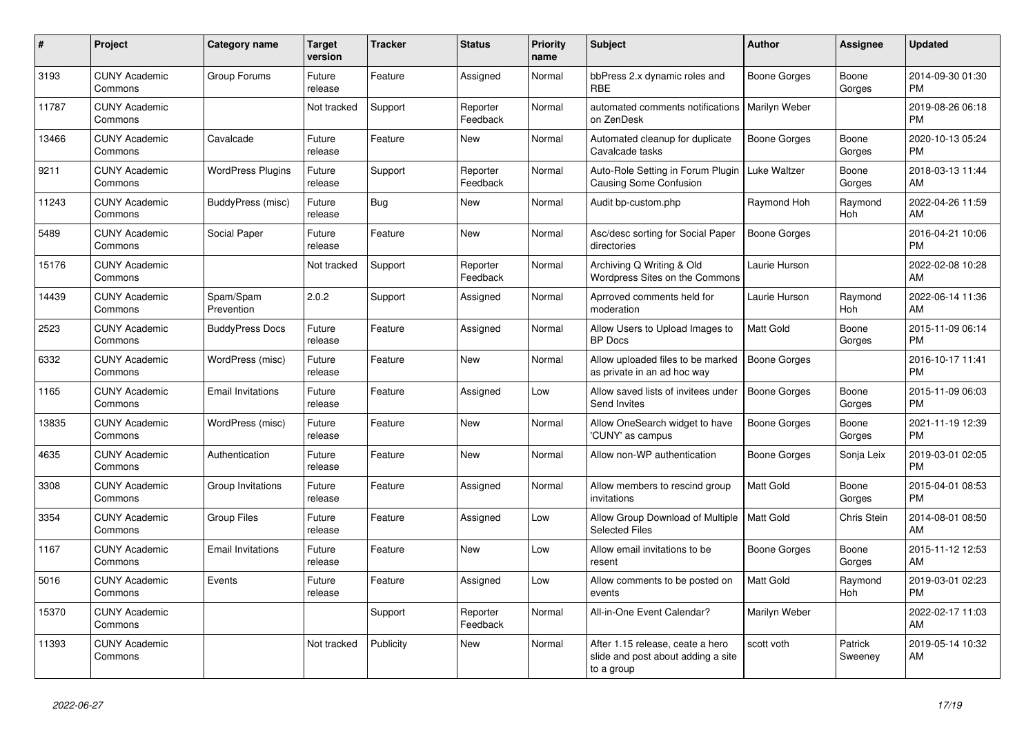| #     | Project                         | Category name            | <b>Target</b><br>version | <b>Tracker</b> | <b>Status</b>        | Priority<br>name | <b>Subject</b>                                                                       | <b>Author</b>       | Assignee           | <b>Updated</b>                |
|-------|---------------------------------|--------------------------|--------------------------|----------------|----------------------|------------------|--------------------------------------------------------------------------------------|---------------------|--------------------|-------------------------------|
| 3193  | <b>CUNY Academic</b><br>Commons | Group Forums             | Future<br>release        | Feature        | Assigned             | Normal           | bbPress 2.x dynamic roles and<br><b>RBE</b>                                          | Boone Gorges        | Boone<br>Gorges    | 2014-09-30 01:30<br><b>PM</b> |
| 11787 | <b>CUNY Academic</b><br>Commons |                          | Not tracked              | Support        | Reporter<br>Feedback | Normal           | automated comments notifications<br>on ZenDesk                                       | Marilyn Weber       |                    | 2019-08-26 06:18<br><b>PM</b> |
| 13466 | <b>CUNY Academic</b><br>Commons | Cavalcade                | Future<br>release        | Feature        | New                  | Normal           | Automated cleanup for duplicate<br>Cavalcade tasks                                   | Boone Gorges        | Boone<br>Gorges    | 2020-10-13 05:24<br><b>PM</b> |
| 9211  | <b>CUNY Academic</b><br>Commons | <b>WordPress Plugins</b> | Future<br>release        | Support        | Reporter<br>Feedback | Normal           | Auto-Role Setting in Forum Plugin<br><b>Causing Some Confusion</b>                   | Luke Waltzer        | Boone<br>Gorges    | 2018-03-13 11:44<br>AM        |
| 11243 | <b>CUNY Academic</b><br>Commons | BuddyPress (misc)        | Future<br>release        | Bug            | <b>New</b>           | Normal           | Audit bp-custom.php                                                                  | Raymond Hoh         | Raymond<br>Hoh     | 2022-04-26 11:59<br>AM        |
| 5489  | <b>CUNY Academic</b><br>Commons | Social Paper             | Future<br>release        | Feature        | <b>New</b>           | Normal           | Asc/desc sorting for Social Paper<br>directories                                     | Boone Gorges        |                    | 2016-04-21 10:06<br><b>PM</b> |
| 15176 | <b>CUNY Academic</b><br>Commons |                          | Not tracked              | Support        | Reporter<br>Feedback | Normal           | Archiving Q Writing & Old<br>Wordpress Sites on the Commons                          | Laurie Hurson       |                    | 2022-02-08 10:28<br>AM        |
| 14439 | <b>CUNY Academic</b><br>Commons | Spam/Spam<br>Prevention  | 2.0.2                    | Support        | Assigned             | Normal           | Aprroved comments held for<br>moderation                                             | Laurie Hurson       | Raymond<br>Hoh     | 2022-06-14 11:36<br>AM        |
| 2523  | <b>CUNY Academic</b><br>Commons | <b>BuddyPress Docs</b>   | Future<br>release        | Feature        | Assigned             | Normal           | Allow Users to Upload Images to<br><b>BP</b> Docs                                    | Matt Gold           | Boone<br>Gorges    | 2015-11-09 06:14<br><b>PM</b> |
| 6332  | <b>CUNY Academic</b><br>Commons | WordPress (misc)         | Future<br>release        | Feature        | <b>New</b>           | Normal           | Allow uploaded files to be marked<br>as private in an ad hoc way                     | Boone Gorges        |                    | 2016-10-17 11:41<br><b>PM</b> |
| 1165  | <b>CUNY Academic</b><br>Commons | <b>Email Invitations</b> | Future<br>release        | Feature        | Assigned             | Low              | Allow saved lists of invitees under<br>Send Invites                                  | <b>Boone Gorges</b> | Boone<br>Gorges    | 2015-11-09 06:03<br><b>PM</b> |
| 13835 | <b>CUNY Academic</b><br>Commons | WordPress (misc)         | Future<br>release        | Feature        | <b>New</b>           | Normal           | Allow OneSearch widget to have<br>'CUNY' as campus                                   | Boone Gorges        | Boone<br>Gorges    | 2021-11-19 12:39<br><b>PM</b> |
| 4635  | <b>CUNY Academic</b><br>Commons | Authentication           | Future<br>release        | Feature        | <b>New</b>           | Normal           | Allow non-WP authentication                                                          | <b>Boone Gorges</b> | Sonja Leix         | 2019-03-01 02:05<br><b>PM</b> |
| 3308  | <b>CUNY Academic</b><br>Commons | Group Invitations        | Future<br>release        | Feature        | Assigned             | Normal           | Allow members to rescind group<br>invitations                                        | <b>Matt Gold</b>    | Boone<br>Gorges    | 2015-04-01 08:53<br><b>PM</b> |
| 3354  | <b>CUNY Academic</b><br>Commons | <b>Group Files</b>       | Future<br>release        | Feature        | Assigned             | Low              | Allow Group Download of Multiple<br><b>Selected Files</b>                            | <b>Matt Gold</b>    | Chris Stein        | 2014-08-01 08:50<br>AM        |
| 1167  | <b>CUNY Academic</b><br>Commons | <b>Email Invitations</b> | Future<br>release        | Feature        | <b>New</b>           | Low              | Allow email invitations to be<br>resent                                              | Boone Gorges        | Boone<br>Gorges    | 2015-11-12 12:53<br>AM        |
| 5016  | <b>CUNY Academic</b><br>Commons | Events                   | Future<br>release        | Feature        | Assigned             | Low              | Allow comments to be posted on<br>events                                             | <b>Matt Gold</b>    | Raymond<br>Hoh     | 2019-03-01 02:23<br><b>PM</b> |
| 15370 | <b>CUNY Academic</b><br>Commons |                          |                          | Support        | Reporter<br>Feedback | Normal           | All-in-One Event Calendar?                                                           | Marilyn Weber       |                    | 2022-02-17 11:03<br>AM        |
| 11393 | <b>CUNY Academic</b><br>Commons |                          | Not tracked              | Publicity      | <b>New</b>           | Normal           | After 1.15 release, ceate a hero<br>slide and post about adding a site<br>to a group | scott voth          | Patrick<br>Sweeney | 2019-05-14 10:32<br>AM        |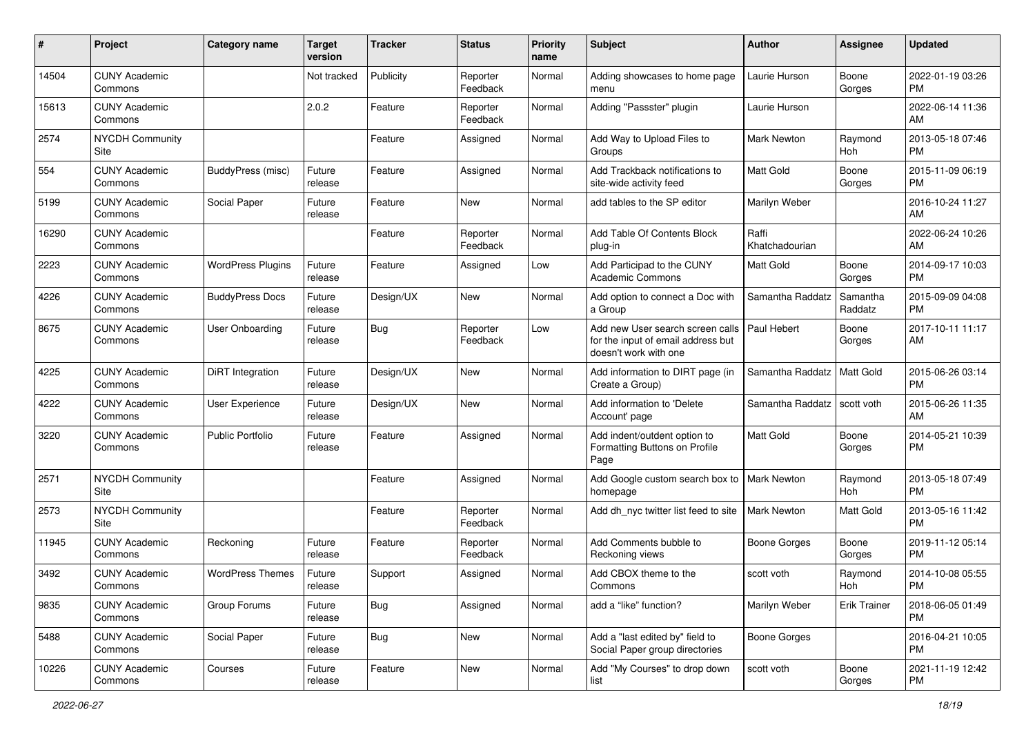| #     | Project                         | <b>Category name</b>     | <b>Target</b><br>version | <b>Tracker</b> | <b>Status</b>        | <b>Priority</b><br>name | <b>Subject</b>                                                                                  | <b>Author</b>           | <b>Assignee</b>     | <b>Updated</b>                |
|-------|---------------------------------|--------------------------|--------------------------|----------------|----------------------|-------------------------|-------------------------------------------------------------------------------------------------|-------------------------|---------------------|-------------------------------|
| 14504 | <b>CUNY Academic</b><br>Commons |                          | Not tracked              | Publicity      | Reporter<br>Feedback | Normal                  | Adding showcases to home page<br>menu                                                           | Laurie Hurson           | Boone<br>Gorges     | 2022-01-19 03:26<br>PМ        |
| 15613 | <b>CUNY Academic</b><br>Commons |                          | 2.0.2                    | Feature        | Reporter<br>Feedback | Normal                  | Adding "Passster" plugin                                                                        | Laurie Hurson           |                     | 2022-06-14 11:36<br>AM        |
| 2574  | <b>NYCDH Community</b><br>Site  |                          |                          | Feature        | Assigned             | Normal                  | Add Way to Upload Files to<br>Groups                                                            | Mark Newton             | Raymond<br>Hoh      | 2013-05-18 07:46<br><b>PM</b> |
| 554   | <b>CUNY Academic</b><br>Commons | BuddyPress (misc)        | Future<br>release        | Feature        | Assigned             | Normal                  | Add Trackback notifications to<br>site-wide activity feed                                       | Matt Gold               | Boone<br>Gorges     | 2015-11-09 06:19<br><b>PM</b> |
| 5199  | <b>CUNY Academic</b><br>Commons | Social Paper             | Future<br>release        | Feature        | New                  | Normal                  | add tables to the SP editor                                                                     | Marilyn Weber           |                     | 2016-10-24 11:27<br>AM        |
| 16290 | <b>CUNY Academic</b><br>Commons |                          |                          | Feature        | Reporter<br>Feedback | Normal                  | Add Table Of Contents Block<br>plug-in                                                          | Raffi<br>Khatchadourian |                     | 2022-06-24 10:26<br>AM        |
| 2223  | <b>CUNY Academic</b><br>Commons | <b>WordPress Plugins</b> | Future<br>release        | Feature        | Assigned             | Low                     | Add Participad to the CUNY<br><b>Academic Commons</b>                                           | Matt Gold               | Boone<br>Gorges     | 2014-09-17 10:03<br><b>PM</b> |
| 4226  | <b>CUNY Academic</b><br>Commons | <b>BuddyPress Docs</b>   | Future<br>release        | Design/UX      | New                  | Normal                  | Add option to connect a Doc with<br>a Group                                                     | Samantha Raddatz        | Samantha<br>Raddatz | 2015-09-09 04:08<br><b>PM</b> |
| 8675  | <b>CUNY Academic</b><br>Commons | <b>User Onboarding</b>   | Future<br>release        | Bug            | Reporter<br>Feedback | Low                     | Add new User search screen calls<br>for the input of email address but<br>doesn't work with one | Paul Hebert             | Boone<br>Gorges     | 2017-10-11 11:17<br>AM        |
| 4225  | <b>CUNY Academic</b><br>Commons | <b>DiRT</b> Integration  | Future<br>release        | Design/UX      | New                  | Normal                  | Add information to DIRT page (in<br>Create a Group)                                             | Samantha Raddatz        | Matt Gold           | 2015-06-26 03:14<br><b>PM</b> |
| 4222  | <b>CUNY Academic</b><br>Commons | User Experience          | Future<br>release        | Design/UX      | <b>New</b>           | Normal                  | Add information to 'Delete<br>Account' page                                                     | Samantha Raddatz        | scott voth          | 2015-06-26 11:35<br>AM        |
| 3220  | <b>CUNY Academic</b><br>Commons | <b>Public Portfolio</b>  | Future<br>release        | Feature        | Assigned             | Normal                  | Add indent/outdent option to<br>Formatting Buttons on Profile<br>Page                           | Matt Gold               | Boone<br>Gorges     | 2014-05-21 10:39<br><b>PM</b> |
| 2571  | <b>NYCDH Community</b><br>Site  |                          |                          | Feature        | Assigned             | Normal                  | Add Google custom search box to<br>homepage                                                     | Mark Newton             | Raymond<br>Hoh      | 2013-05-18 07:49<br><b>PM</b> |
| 2573  | <b>NYCDH Community</b><br>Site  |                          |                          | Feature        | Reporter<br>Feedback | Normal                  | Add dh_nyc twitter list feed to site                                                            | <b>Mark Newton</b>      | Matt Gold           | 2013-05-16 11:42<br><b>PM</b> |
| 11945 | <b>CUNY Academic</b><br>Commons | Reckoning                | Future<br>release        | Feature        | Reporter<br>Feedback | Normal                  | Add Comments bubble to<br>Reckoning views                                                       | <b>Boone Gorges</b>     | Boone<br>Gorges     | 2019-11-12 05:14<br><b>PM</b> |
| 3492  | <b>CUNY Academic</b><br>Commons | <b>WordPress Themes</b>  | Future<br>release        | Support        | Assigned             | Normal                  | Add CBOX theme to the<br>Commons                                                                | scott voth              | Raymond<br>Hoh      | 2014-10-08 05:55<br>PM        |
| 9835  | <b>CUNY Academic</b><br>Commons | Group Forums             | Future<br>release        | Bug            | Assigned             | Normal                  | add a "like" function?                                                                          | Marilyn Weber           | <b>Erik Trainer</b> | 2018-06-05 01:49<br><b>PM</b> |
| 5488  | <b>CUNY Academic</b><br>Commons | Social Paper             | Future<br>release        | <b>Bug</b>     | New                  | Normal                  | Add a "last edited by" field to<br>Social Paper group directories                               | <b>Boone Gorges</b>     |                     | 2016-04-21 10:05<br><b>PM</b> |
| 10226 | <b>CUNY Academic</b><br>Commons | Courses                  | Future<br>release        | Feature        | New                  | Normal                  | Add "My Courses" to drop down<br>list                                                           | scott voth              | Boone<br>Gorges     | 2021-11-19 12:42<br><b>PM</b> |